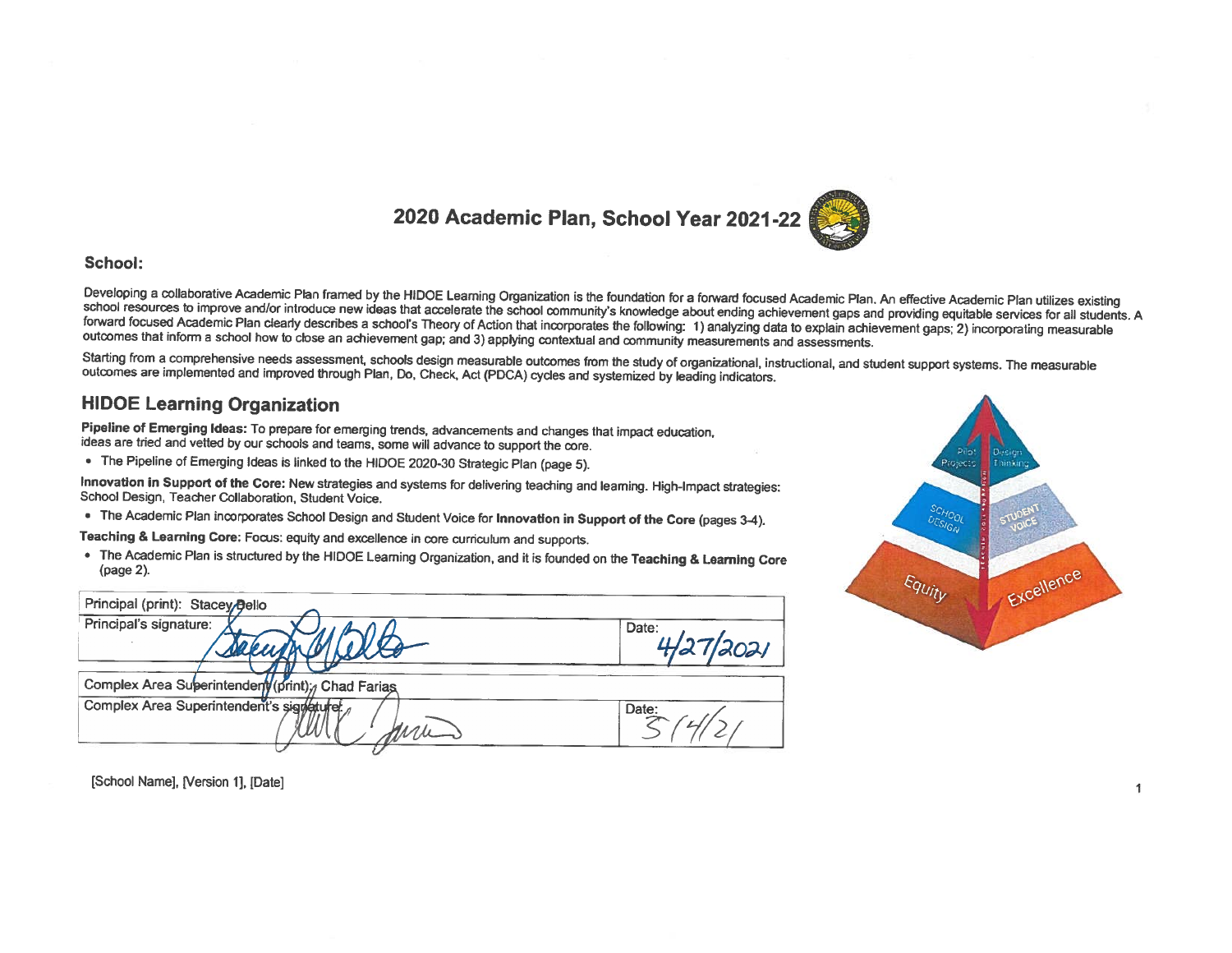# 2020 Academic Plan, School Year 2021-22



#### School:

Developing a collaborative Academic Plan framed by the HIDOE Leaming Organization is the foundation for a forward focused Academic Plan. An effective Academic Plan utilizes existing school resources to improve and/or introduce new ideas that accelerate the school community's knowledge about ending achievement gaps and providing equitable services for all students. A forward focused Academic Plan clearly describes a school's Theory of Action that incorporates the following: 1) analyzing data to explain achievement gaps; 2) incorporating measurable outcomes that inform a school how to close an achievement gap; and 3) applying contextual and community measurements and assessments.

Starting from a comprehensive needs assessment, schools design measurable outcomes from the study of organizational, instructional, and student support systems. The measurable outcomes are implemented and improved through Plan, Do, Check, Act (PDCA) cycles and systemized by leading indicators.

## **HIDOE Learning Organization**

Pipeline of Emerging Ideas: To prepare for emerging trends, advancements and changes that impact education, ideas are tried and vetted by our schools and teams, some will advance to support the core.

• The Pipeline of Emerging Ideas is linked to the HIDOE 2020-30 Strategic Plan (page 5).

Innovation in Support of the Core: New strategies and systems for delivering teaching and leaming. High-Impact strategies: School Design, Teacher Collaboration, Student Voice.

• The Academic Plan incorporates School Design and Student Voice for Innovation in Support of the Core (pages 3-4).

Teaching & Learning Core: Focus: equity and excellence in core curriculum and supports.

• The Academic Plan is structured by the HIDOE Learning Organization, and it is founded on the Teaching & Learning Core (page 2).

| Principal (print): Stacey Bello                  |                    |
|--------------------------------------------------|--------------------|
| Principal's signature:                           | Date:<br>4/27/2021 |
| Complex Area Superintendery (print); Chad Farias |                    |
| Complex Area Superintendent's signature          | Date:              |



[School Name], [Version 1], [Date]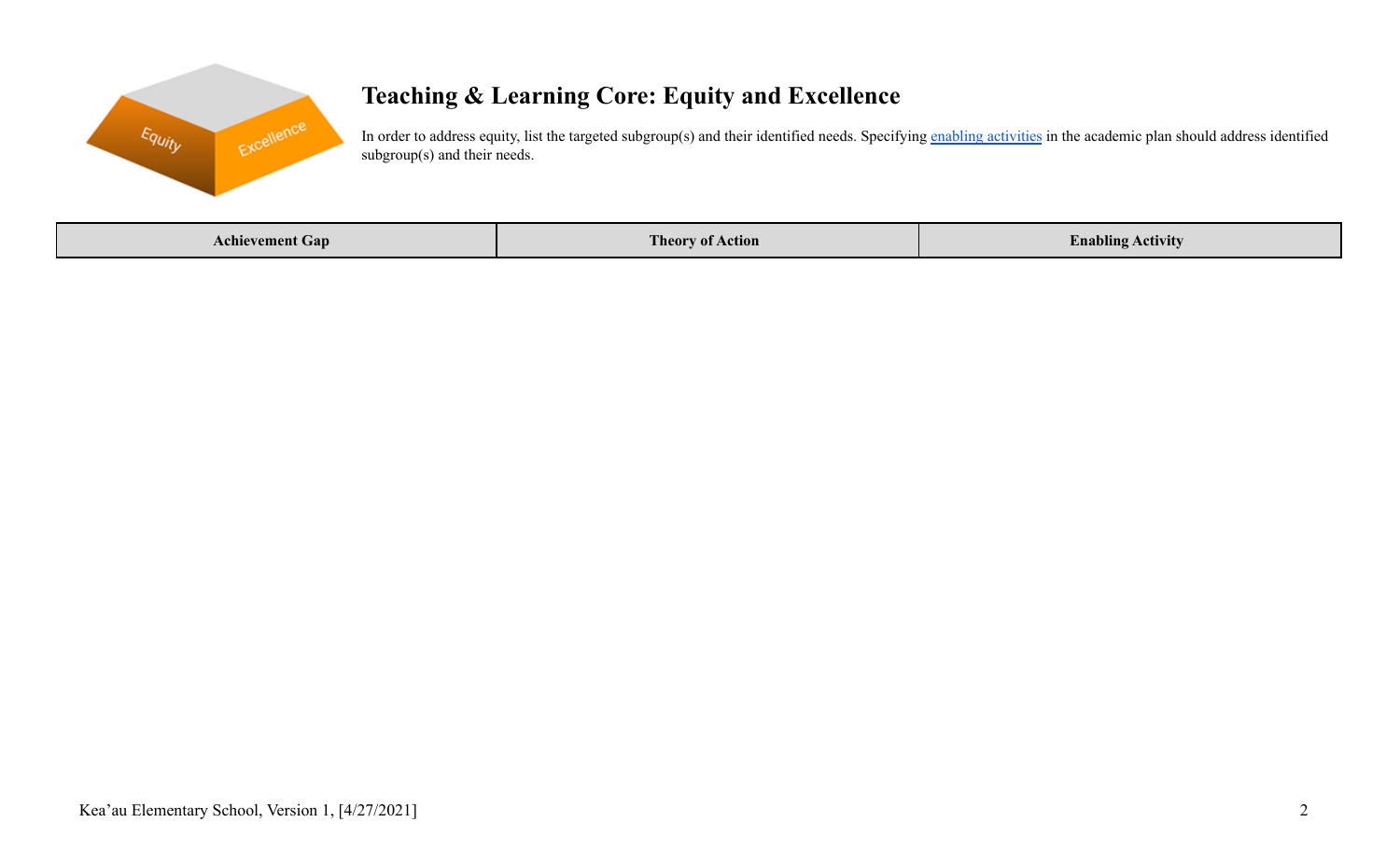

# **Teaching & Learning Core: Equity and Excellence**

In order to address equity, list the targeted subgroup(s) and their identified needs. Specifying enabling [activities](https://docs.google.com/document/d/1_CBCCCUPTqpr2sEeh1fQ9EUVupyhBBZlYUdzcm9zCw0/edit) in the academic plan should address identified subgroup(s) and their needs.

| Achievement Gan | <b>Theory of Action</b> | <b><i>Command</i></b><br>! Activity<br>$\ldots$ nabling |
|-----------------|-------------------------|---------------------------------------------------------|
|-----------------|-------------------------|---------------------------------------------------------|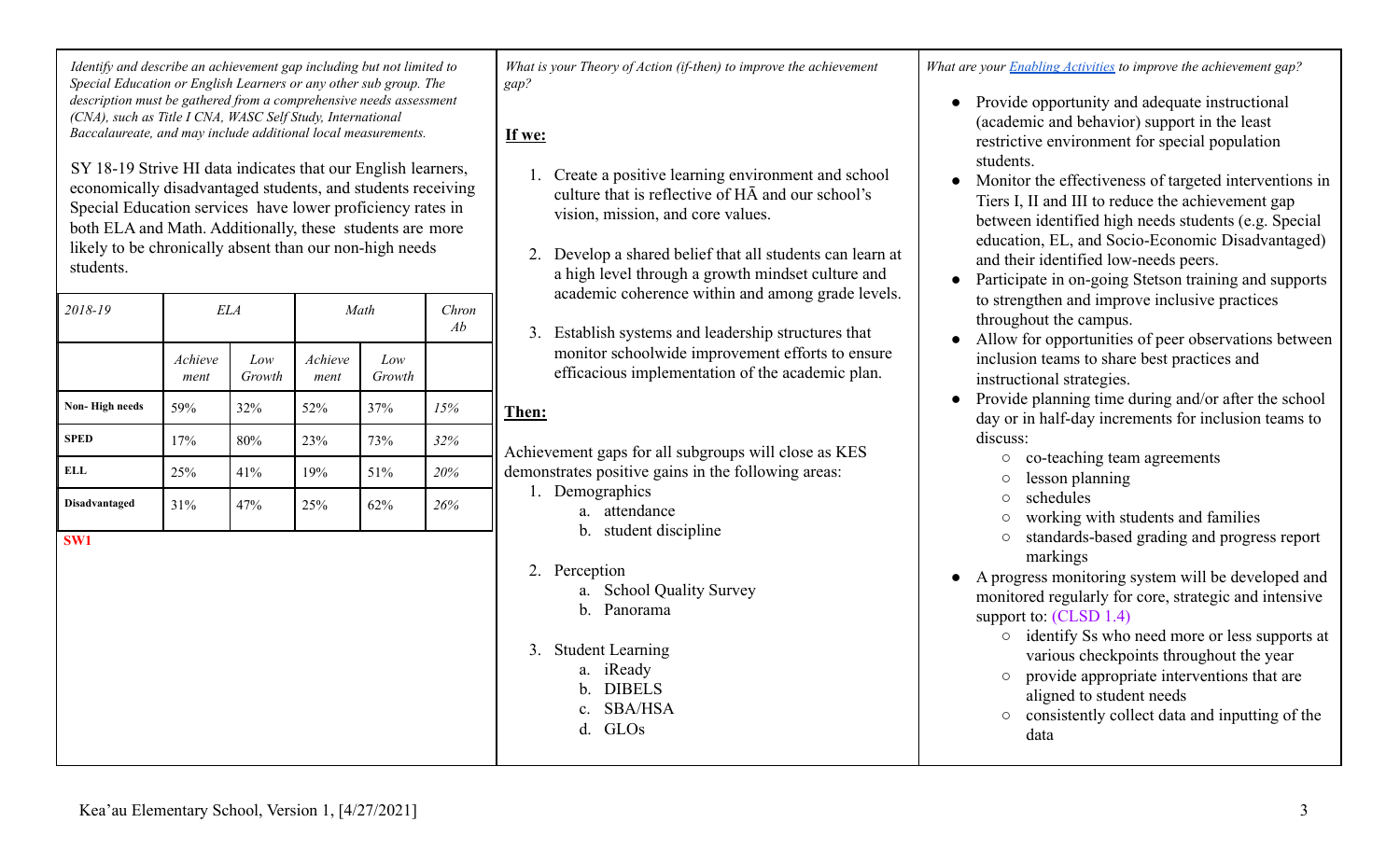*Identify and describe an achievement gap including but not limited to Special Education or English Learners or any other sub group. The description must be gathered from a comprehensive needs assessment (CNA), such as Title I CNA, WASC Self Study, International Baccalaureate, and may include additional local measurements.*

SY 18-19 Strive HI data indicates that our English learners, economically disadvantaged students, and students receiving Special Education services have lower proficiency rates in both ELA and Math. Additionally, these students are more likely to be chronically absent than our non-high needs students.

| 2018-19              | ELA             |               |                 | Math          | Chron<br>Ab | 3.     |
|----------------------|-----------------|---------------|-----------------|---------------|-------------|--------|
|                      | Achieve<br>ment | Low<br>Growth | Achieve<br>ment | Low<br>Growth |             |        |
| Non-High needs       | 59%             | 32%           | 52%             | 37%           | 15%         | Then:  |
| <b>SPED</b>          | 17%             | 80%           | 23%             | 73%           | 32%         | Achiev |
| <b>ELL</b>           | 25%             | 41%           | 19%             | 51%           | 20%         | demon  |
| <b>Disadvantaged</b> | 31%             | 47%           | 25%             | 62%           | 26%         | Ι.     |
| SW <sub>1</sub>      |                 |               |                 |               |             |        |

*What is your Theory of Action (if-then) to improve the achievement gap?*

**If we:**

- 1. Create a positive learning environment and school culture that is reflective of HĀ and our school's vision, mission, and core values.
- 2. Develop a shared belief that all students can learn at a high level through a growth mindset culture and academic coherence within and among grade levels.
- 3. Establish systems and leadership structures that monitor schoolwide improvement efforts to ensure efficacious implementation of the academic plan.

Achievement gaps for all subgroups will close as KES demonstrates positive gains in the following areas:

- 1. Demographics
	- a. attendance
	- b. student discipline
- 2. Perception
	- a. School Quality Survey
	- b. Panorama
- 3. Student Learning
	- a. iReady
	- b. DIBELS
	- c. SBA/HSA
	- d. GLOs

*What are your Enabling [Activities](https://docs.google.com/document/d/1_CBCCCUPTqpr2sEeh1fQ9EUVupyhBBZlYUdzcm9zCw0/edit) to improve the achievement gap?*

- Provide opportunity and adequate instructional (academic and behavior) support in the least restrictive environment for special population students.
- Monitor the effectiveness of targeted interventions in Tiers I, II and III to reduce the achievement gap between identified high needs students (e.g. Special education, EL, and Socio-Economic Disadvantaged) and their identified low-needs peers.
- Participate in on-going Stetson training and supports to strengthen and improve inclusive practices throughout the campus.
- Allow for opportunities of peer observations between inclusion teams to share best practices and instructional strategies.
- Provide planning time during and/or after the school day or in half-day increments for inclusion teams to discuss:
	- co-teaching team agreements
	- lesson planning
	- schedules
	- working with students and families
	- standards-based grading and progress report markings
- A progress monitoring system will be developed and monitored regularly for core, strategic and intensive support to: (CLSD 1.4)
	- identify Ss who need more or less supports at various checkpoints throughout the year
	- provide appropriate interventions that are aligned to student needs
	- consistently collect data and inputting of the data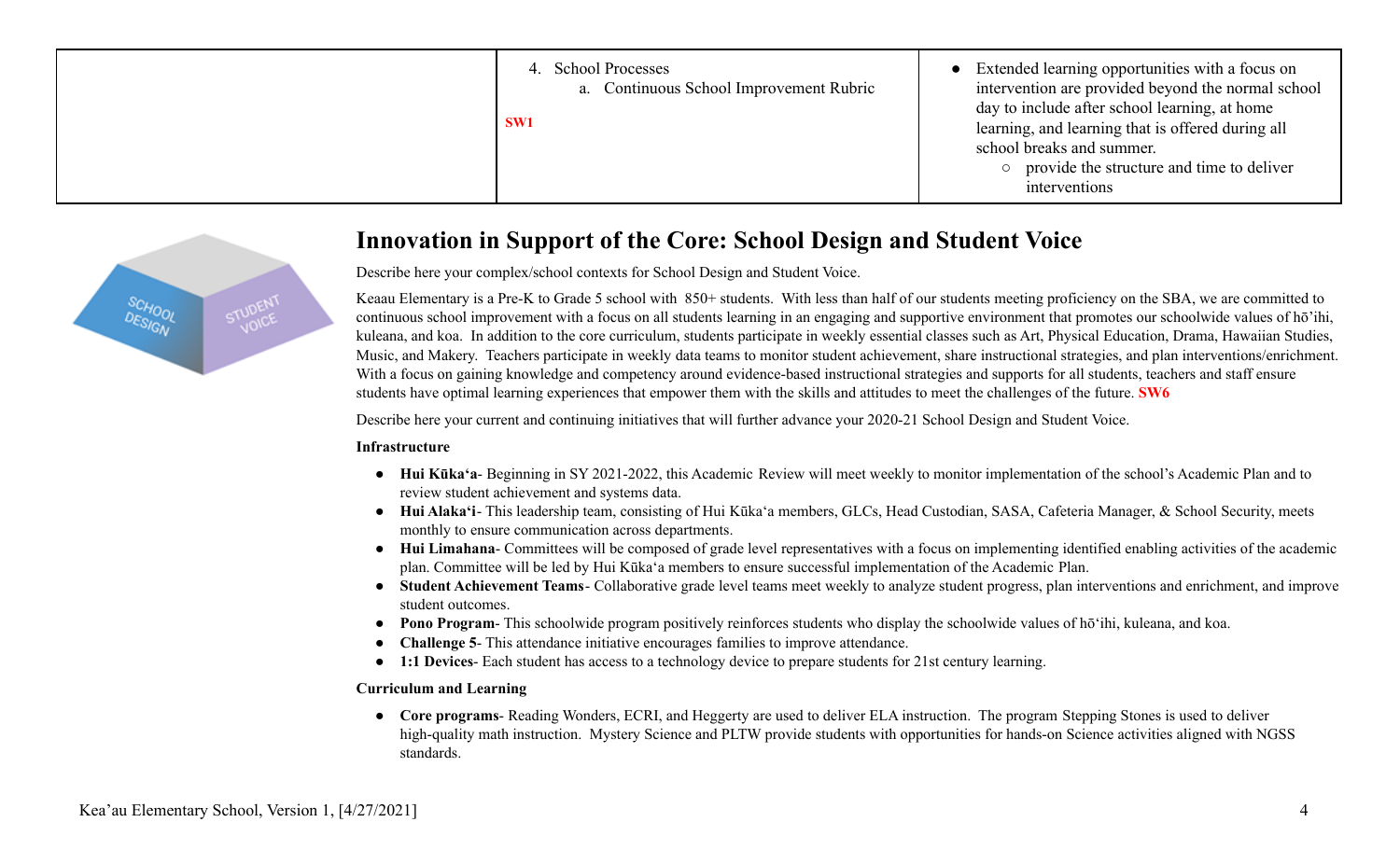| <b>School Processes</b><br>4.<br>a. Continuous School Improvement Rubric<br>SW <sub>1</sub> | • Extended learning opportunities with a focus on<br>intervention are provided beyond the normal school<br>day to include after school learning, at home<br>learning, and learning that is offered during all<br>school breaks and summer.<br>provide the structure and time to deliver<br>interventions |
|---------------------------------------------------------------------------------------------|----------------------------------------------------------------------------------------------------------------------------------------------------------------------------------------------------------------------------------------------------------------------------------------------------------|
|---------------------------------------------------------------------------------------------|----------------------------------------------------------------------------------------------------------------------------------------------------------------------------------------------------------------------------------------------------------------------------------------------------------|



# **Innovation in Support of the Core: School Design and Student Voice**

Describe here your complex/school contexts for School Design and Student Voice.

Keaau Elementary is a Pre-K to Grade 5 school with 850+ students. With less than half of our students meeting proficiency on the SBA, we are committed to continuous school improvement with a focus on all students learning in an engaging and supportive environment that promotes our schoolwide values of hō'ihi, kuleana, and koa. In addition to the core curriculum, students participate in weekly essential classes such as Art, Physical Education, Drama, Hawaiian Studies, Music, and Makery. Teachers participate in weekly data teams to monitor student achievement, share instructional strategies, and plan interventions/enrichment. With a focus on gaining knowledge and competency around evidence-based instructional strategies and supports for all students, teachers and staff ensure students have optimal learning experiences that empower them with the skills and attitudes to meet the challenges of the future. **SW6**

Describe here your current and continuing initiatives that will further advance your 2020-21 School Design and Student Voice.

#### **Infrastructure**

- **Hui Kūkaʻa** Beginning in SY 2021-2022, this Academic Review will meet weekly to monitor implementation of the school's Academic Plan and to review student achievement and systems data.
- **Hui Alakaʻi** This leadership team, consisting of Hui Kūkaʻa members, GLCs, Head Custodian, SASA, Cafeteria Manager, & School Security, meets monthly to ensure communication across departments.
- **Hui Limahana** Committees will be composed of grade level representatives with a focus on implementing identified enabling activities of the academic plan. Committee will be led by Hui Kūkaʻa members to ensure successful implementation of the Academic Plan.
- **Student Achievement Teams** Collaborative grade level teams meet weekly to analyze student progress, plan interventions and enrichment, and improve student outcomes.
- **Pono Program** This schoolwide program positively reinforces students who display the schoolwide values of hōʻihi, kuleana, and koa.
- **Challenge 5** This attendance initiative encourages families to improve attendance.
- **1:1 Devices** Each student has access to a technology device to prepare students for 21st century learning.

## **Curriculum and Learning**

● **Core programs**- Reading Wonders, ECRI, and Heggerty are used to deliver ELA instruction. The program Stepping Stones is used to deliver high-quality math instruction. Mystery Science and PLTW provide students with opportunities for hands-on Science activities aligned with NGSS standards.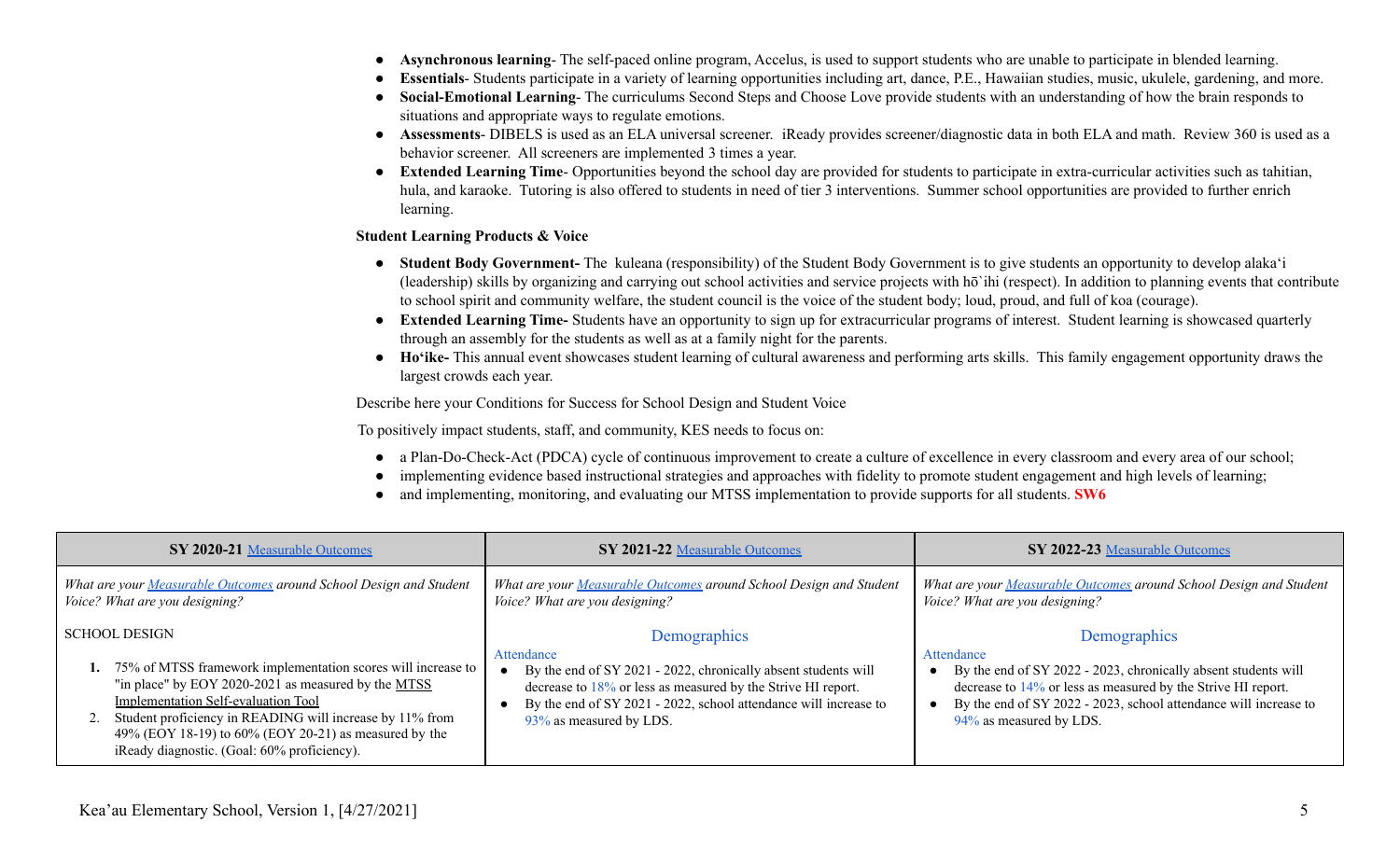- Asynchronous learning- The self-paced online program, Accelus, is used to support students who are unable to participate in blended learning.
- **Essentials** Students participate in a variety of learning opportunities including art, dance, P.E., Hawaiian studies, music, ukulele, gardening, and more.
- **Social-Emotional Learning** The curriculums Second Steps and Choose Love provide students with an understanding of how the brain responds to situations and appropriate ways to regulate emotions.
- **Assessments** DIBELS is used as an ELA universal screener. iReady provides screener/diagnostic data in both ELA and math. Review 360 is used as a behavior screener. All screeners are implemented 3 times a year.
- **Extended Learning Time** Opportunities beyond the school day are provided for students to participate in extra-curricular activities such as tahitian, hula, and karaoke. Tutoring is also offered to students in need of tier 3 interventions. Summer school opportunities are provided to further enrich learning.

#### **Student Learning Products & Voice**

- **● Student Body Government-** The kuleana (responsibility) of the Student Body Government is to give students an opportunity to develop alakaʻi (leadership) skills by organizing and carrying out school activities and service projects with hō`ihi (respect). In addition to planning events that contribute to school spirit and community welfare, the student council is the voice of the student body; loud, proud, and full of koa (courage).
- **● Extended Learning Time-** Students have an opportunity to sign up for extracurricular programs of interest. Student learning is showcased quarterly through an assembly for the students as well as at a family night for the parents.
- **● Hoʻike-** This annual event showcases student learning of cultural awareness and performing arts skills. This family engagement opportunity draws the largest crowds each year.

Describe here your Conditions for Success for School Design and Student Voice

To positively impact students, staff, and community, KES needs to focus on:

- a Plan-Do-Check-Act (PDCA) cycle of continuous improvement to create a culture of excellence in every classroom and every area of our school;
- implementing evidence based instructional strategies and approaches with fidelity to promote student engagement and high levels of learning;
- and implementing, monitoring, and evaluating our MTSS implementation to provide supports for all students. **SW6**

| SY 2020-21 Measurable Outcomes                                                                                                                                                                                                                                                                                                                         | SY 2021-22 Measurable Outcomes                                                                                                                                                                                                                                 | SY 2022-23 Measurable Outcomes                                                                                                                                                                                                                                 |  |  |
|--------------------------------------------------------------------------------------------------------------------------------------------------------------------------------------------------------------------------------------------------------------------------------------------------------------------------------------------------------|----------------------------------------------------------------------------------------------------------------------------------------------------------------------------------------------------------------------------------------------------------------|----------------------------------------------------------------------------------------------------------------------------------------------------------------------------------------------------------------------------------------------------------------|--|--|
| What are your Measurable Outcomes around School Design and Student<br>Voice? What are you designing?                                                                                                                                                                                                                                                   | What are your Measurable Outcomes around School Design and Student<br>Voice? What are you designing?                                                                                                                                                           | What are your Measurable Outcomes around School Design and Student<br>Voice? What are you designing?                                                                                                                                                           |  |  |
| <b>SCHOOL DESIGN</b><br>75% of MTSS framework implementation scores will increase to<br>"in place" by EOY 2020-2021 as measured by the MTSS<br>Implementation Self-evaluation Tool<br>Student proficiency in READING will increase by 11% from<br>49% (EOY 18-19) to 60% (EOY 20-21) as measured by the<br>iReady diagnostic. (Goal: 60% proficiency). | Demographics<br>Attendance<br>By the end of SY 2021 - 2022, chronically absent students will<br>decrease to $18\%$ or less as measured by the Strive HI report.<br>By the end of SY 2021 - 2022, school attendance will increase to<br>93% as measured by LDS. | Demographics<br>Attendance<br>By the end of SY 2022 - 2023, chronically absent students will<br>decrease to $14\%$ or less as measured by the Strive HI report.<br>By the end of SY 2022 - 2023, school attendance will increase to<br>94% as measured by LDS. |  |  |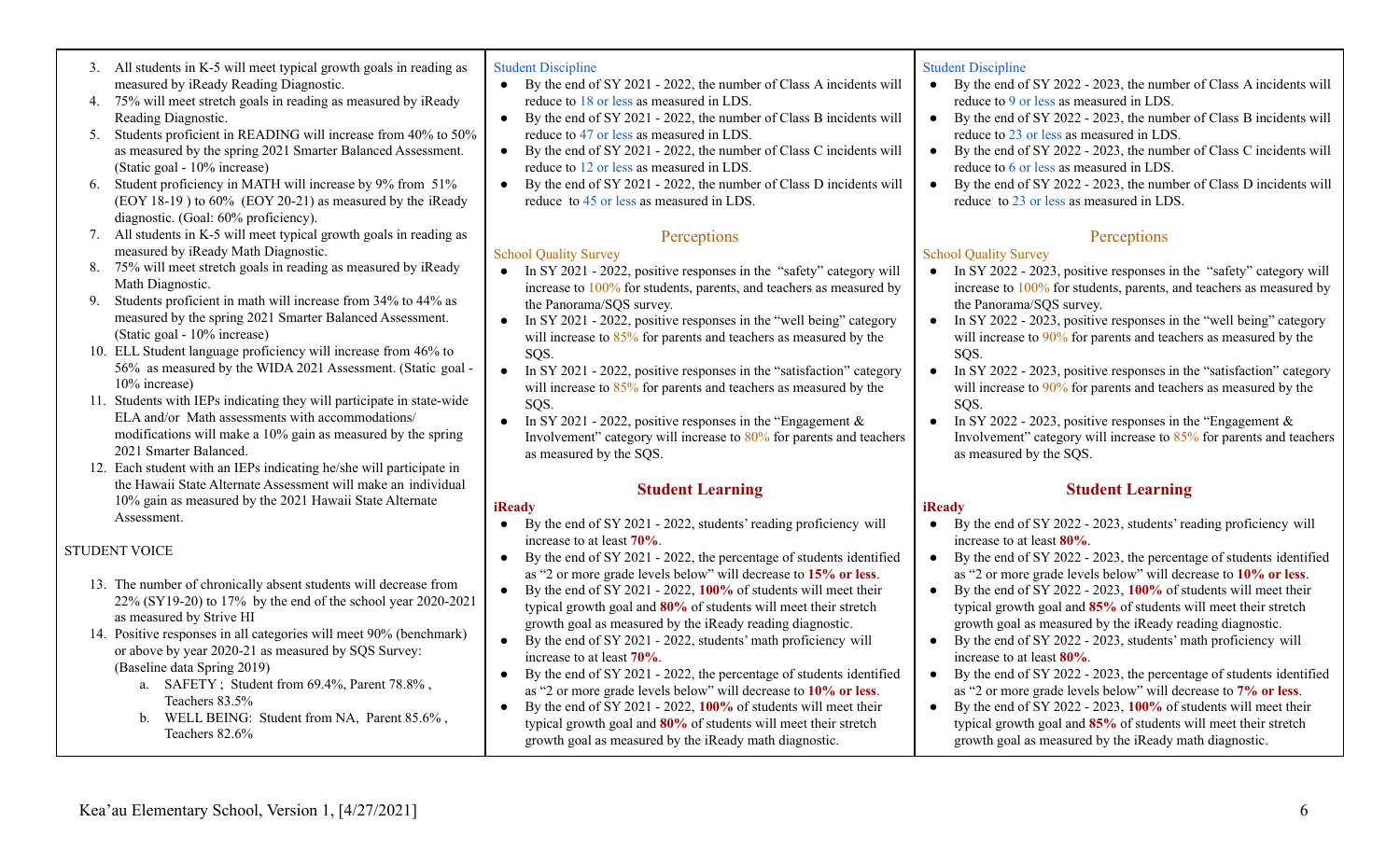#### 3. All students in K-5 will meet typical growth goals in reading as measured by iReady Reading Diagnostic.

- 4. 75% will meet stretch goals in reading as measured by iReady Reading Diagnostic.
- 5. Students proficient in READING will increase from 40% to 50% as measured by the spring 2021 Smarter Balanced Assessment. (Static goal - 10% increase)
- 6. Student proficiency in MATH will increase by 9% from 51% (EOY 18-19 ) to 60% (EOY 20-21) as measured by the iReady diagnostic. (Goal: 60% proficiency).
- 7. All students in K-5 will meet typical growth goals in reading as measured by iReady Math Diagnostic.
- 8. 75% will meet stretch goals in reading as measured by iReady Math Diagnostic.
- 9. Students proficient in math will increase from 34% to 44% as measured by the spring 2021 Smarter Balanced Assessment. (Static goal - 10% increase)
- 10. ELL Student language proficiency will increase from 46% to 56% as measured by the WIDA 2021 Assessment. (Static goal - 10% increase)
- 11. Students with IEPs indicating they will participate in state-wide ELA and/or Math assessments with accommodations/ modifications will make a 10% gain as measured by the spring 2021 Smarter Balanced.
- 12. Each student with an IEPs indicating he/she will participate in the Hawaii State Alternate Assessment will make an individual 10% gain as measured by the 2021 Hawaii State Alternate Assessment.

# STUDENT VOICE

- 13. The number of chronically absent students will decrease from 22% (SY19-20) to 17% by the end of the school year 2020-2021 as measured by Strive HI
- 14. Positive responses in all categories will meet 90% (benchmark) or above by year 2020-21 as measured by SQS Survey: (Baseline data Spring 2019)
	- a. SAFETY ; Student from 69.4%, Parent 78.8% , Teachers 83.5%
	- b. WELL BEING: Student from NA, Parent 85.6% , Teachers 82.6%

#### Student Discipline

- By the end of SY 2021 2022, the number of Class A incidents will reduce to 18 or less as measured in LDS.
- By the end of SY 2021 2022, the number of Class B incidents will reduce to 47 or less as measured in LDS.
- By the end of SY 2021 2022, the number of Class C incidents will reduce to 12 or less as measured in LDS.
- By the end of SY 2021 2022, the number of Class D incidents will reduce to 45 or less as measured in LDS.

## **Perceptions**

## School Quality Survey

- In SY 2021 2022, positive responses in the "safety" category will increase to 100% for students, parents, and teachers as measured by the Panorama/SQS survey.
- In SY 2021 2022, positive responses in the "well being" category will increase to  $85\%$  for parents and teachers as measured by the SQS.
- In SY 2021 2022, positive responses in the "satisfaction" category will increase to  $85\%$  for parents and teachers as measured by the SQS.
- In SY 2021 2022, positive responses in the "Engagement  $\&$ Involvement" category will increase to 80% for parents and teachers as measured by the SQS.

# **Student Learning**

## **iReady**

- By the end of SY 2021 2022, students' reading proficiency will increase to at least **70%**.
- By the end of SY 2021 2022, the percentage of students identified as "2 or more grade levels below" will decrease to **15% or less**.
- By the end of SY 2021 2022, **100%** of students will meet their typical growth goal and **80%** of students will meet their stretch growth goal as measured by the iReady reading diagnostic.
- By the end of SY 2021 2022, students' math proficiency will increase to at least **70%**.
- By the end of SY 2021 2022, the percentage of students identified as "2 or more grade levels below" will decrease to **10% or less**.
- By the end of SY 2021 2022, **100%** of students will meet their typical growth goal and **80%** of students will meet their stretch growth goal as measured by the iReady math diagnostic.

## Student Discipline

- By the end of SY 2022 2023, the number of Class A incidents will reduce to 9 or less as measured in LDS.
- By the end of SY 2022 2023, the number of Class B incidents will reduce to 23 or less as measured in LDS.
- By the end of SY 2022 2023, the number of Class C incidents will reduce to 6 or less as measured in LDS.
- By the end of SY 2022 2023, the number of Class D incidents will reduce to 23 or less as measured in LDS.

# **Perceptions**

## School Quality Survey

- In SY 2022 2023, positive responses in the "safety" category will increase to 100% for students, parents, and teachers as measured by the Panorama/SQS survey.
- In SY 2022 2023, positive responses in the "well being" category will increase to 90% for parents and teachers as measured by the SQS.
- In SY 2022 2023, positive responses in the "satisfaction" category will increase to  $90\%$  for parents and teachers as measured by the SQS.
- In SY 2022 2023, positive responses in the "Engagement  $\&$ Involvement" category will increase to 85% for parents and teachers as measured by the SQS.

# **Student Learning**

## **iReady**

- By the end of SY 2022 2023, students' reading proficiency will increase to at least **80%**.
- By the end of SY 2022 2023, the percentage of students identified as "2 or more grade levels below" will decrease to **10% or less**.
- By the end of SY 2022 2023, **100%** of students will meet their typical growth goal and **85%** of students will meet their stretch growth goal as measured by the iReady reading diagnostic.
- By the end of SY 2022 2023, students' math proficiency will increase to at least **80%**.
- By the end of SY 2022 2023, the percentage of students identified as "2 or more grade levels below" will decrease to **7% or less**.
- By the end of SY 2022 2023, **100%** of students will meet their typical growth goal and **85%** of students will meet their stretch growth goal as measured by the iReady math diagnostic.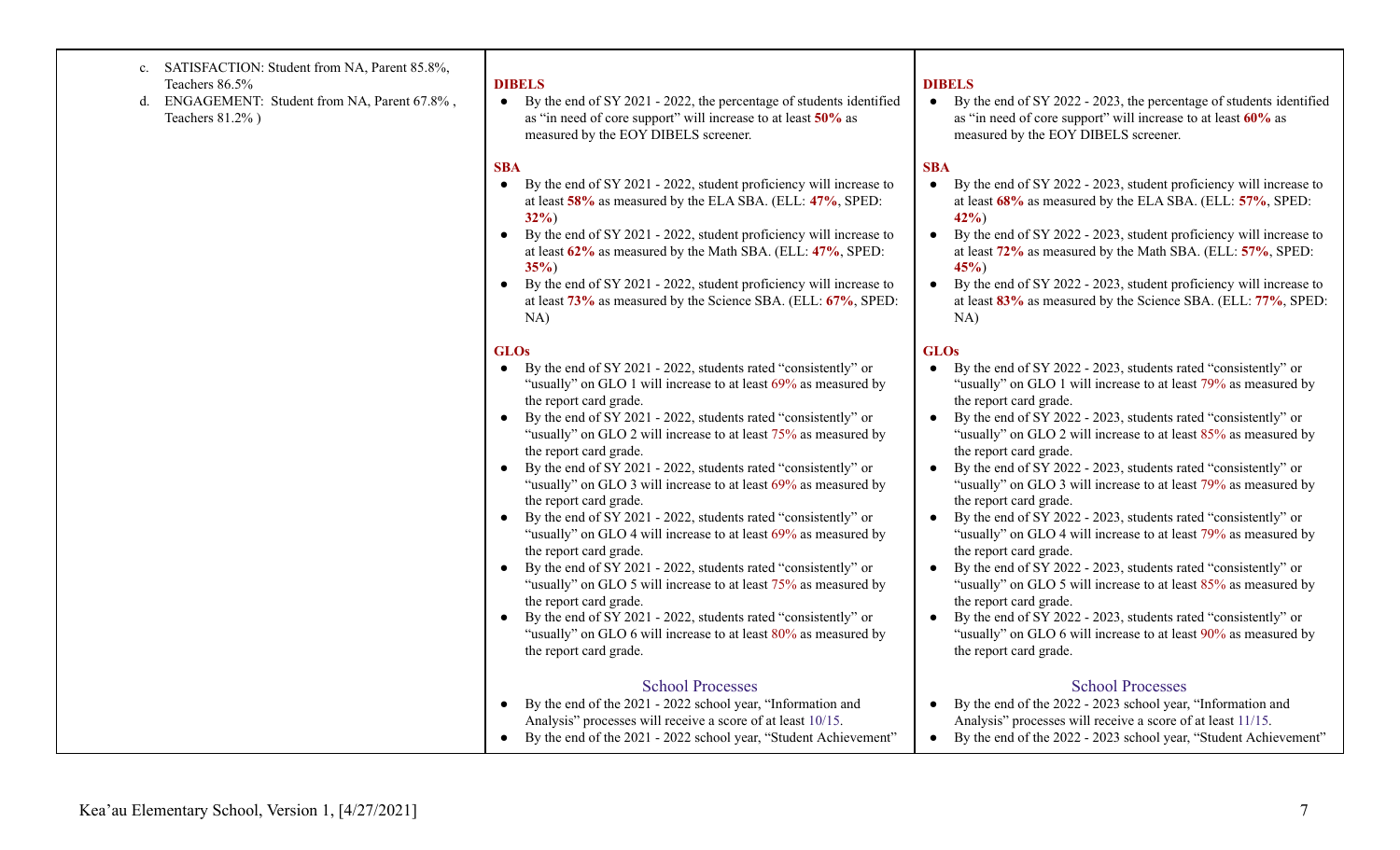#### c. SATISFACTION: Student from NA, Parent 85.8%, Teachers 86.5%

d. ENGAGEMENT: Student from NA, Parent 67.8% , Teachers 81.2% )

## **DIBELS**

● By the end of SY 2021 - 2022, the percentage of students identified as "in need of core support" will increase to at least **50%** as measured by the EOY DIBELS screener.

## **SBA**

- By the end of SY 2021 2022, student proficiency will increase to at least **58%** as measured by the ELA SBA. (ELL: **47%**, SPED: **32%**)
- By the end of SY 2021 2022, student proficiency will increase to at least **62%** as measured by the Math SBA. (ELL: **47%**, SPED: **35%**)
- By the end of SY 2021 2022, student proficiency will increase to at least **73%** as measured by the Science SBA. (ELL: **67%**, SPED: NA)

## **GLOs**

- By the end of SY 2021 2022, students rated "consistently" or "usually" on GLO 1 will increase to at least  $69\%$  as measured by the report card grade.
- By the end of SY 2021 2022, students rated "consistently" or "usually" on GLO 2 will increase to at least  $75%$  as measured by the report card grade.
- By the end of SY 2021 2022, students rated "consistently" or "usually" on GLO 3 will increase to at least 69% as measured by the report card grade.
- By the end of SY 2021 2022, students rated "consistently" or "usually" on GLO 4 will increase to at least 69% as measured by the report card grade.
- By the end of SY 2021 2022, students rated "consistently" or "usually" on GLO 5 will increase to at least  $75%$  as measured by the report card grade.
- By the end of SY 2021 2022, students rated "consistently" or "usually" on GLO 6 will increase to at least 80% as measured by the report card grade.

## School Processes

- By the end of the 2021 2022 school year, "Information and Analysis" processes will receive a score of at least 10/15.
- By the end of the 2021 2022 school year, "Student Achievement"

#### **DIBELS**

● By the end of SY 2022 - 2023, the percentage of students identified as "in need of core support" will increase to at least **60%** as measured by the EOY DIBELS screener.

#### **SBA**

- By the end of SY 2022 2023, student proficiency will increase to at least **68%** as measured by the ELA SBA. (ELL: **57%**, SPED: **42%**)
- By the end of SY 2022 2023, student proficiency will increase to at least **72%** as measured by the Math SBA. (ELL: **57%**, SPED: **45%**)
- By the end of SY 2022 2023, student proficiency will increase to at least **83%** as measured by the Science SBA. (ELL: **77%**, SPED: NA)

## **GLOs**

- By the end of SY 2022 2023, students rated "consistently" or "usually" on GLO 1 will increase to at least 79% as measured by the report card grade.
- By the end of SY 2022 2023, students rated "consistently" or "usually" on GLO 2 will increase to at least 85% as measured by the report card grade.
- By the end of SY 2022 2023, students rated "consistently" or "usually" on GLO 3 will increase to at least 79% as measured by the report card grade.
- By the end of SY 2022 2023, students rated "consistently" or "usually" on GLO 4 will increase to at least 79% as measured by the report card grade.
- By the end of SY 2022 2023, students rated "consistently" or "usually" on GLO 5 will increase to at least 85% as measured by the report card grade.
- By the end of SY 2022 2023, students rated "consistently" or "usually" on GLO 6 will increase to at least 90% as measured by the report card grade.

## School Processes

- By the end of the 2022 2023 school year, "Information and Analysis" processes will receive a score of at least 11/15.
- By the end of the 2022 2023 school year, "Student Achievement"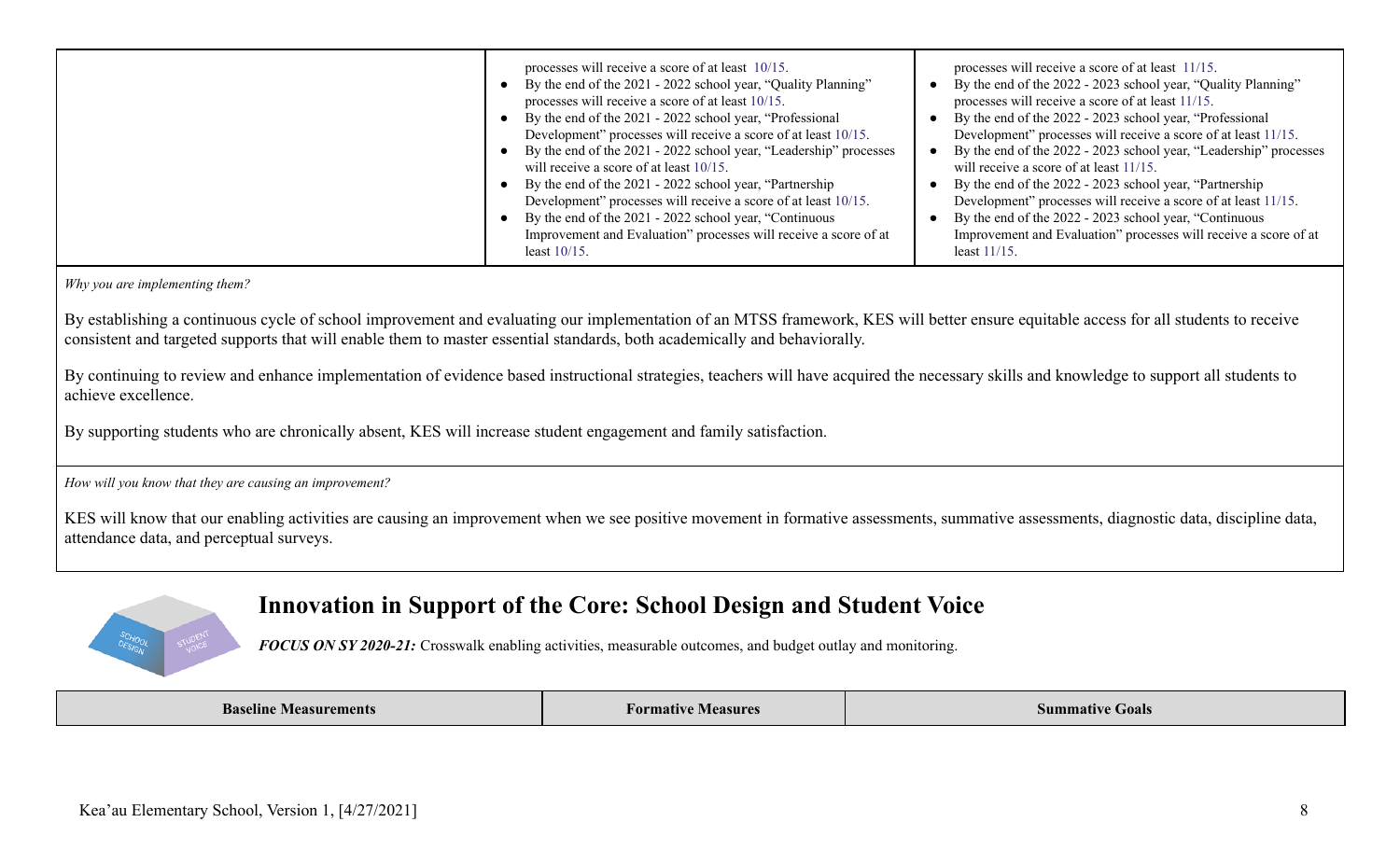| processes will receive a score of at least 10/15.<br>By the end of the 2021 - 2022 school year, "Quality Planning"<br>$\bullet$<br>processes will receive a score of at least 10/15.<br>By the end of the 2021 - 2022 school year, "Professional<br>Development" processes will receive a score of at least 10/15.<br>By the end of the 2021 - 2022 school year, "Leadership" processes<br>$\bullet$<br>will receive a score of at least 10/15.<br>By the end of the 2021 - 2022 school year, "Partnership"<br>Development" processes will receive a score of at least 10/15.<br>By the end of the 2021 - 2022 school year, "Continuous<br>$\bullet$<br>Improvement and Evaluation" processes will receive a score of at | processes will receive a score of at least 11/15.<br>By the end of the 2022 - 2023 school year, "Quality Planning"<br>processes will receive a score of at least 11/15.<br>By the end of the 2022 - 2023 school year, "Professional<br>Development" processes will receive a score of at least 11/15.<br>By the end of the 2022 - 2023 school year, "Leadership" processes<br>will receive a score of at least 11/15.<br>By the end of the 2022 - 2023 school year, "Partnership"<br>Development" processes will receive a score of at least 11/15.<br>By the end of the 2022 - 2023 school year, "Continuous<br>Improvement and Evaluation" processes will receive a score of at |
|--------------------------------------------------------------------------------------------------------------------------------------------------------------------------------------------------------------------------------------------------------------------------------------------------------------------------------------------------------------------------------------------------------------------------------------------------------------------------------------------------------------------------------------------------------------------------------------------------------------------------------------------------------------------------------------------------------------------------|-----------------------------------------------------------------------------------------------------------------------------------------------------------------------------------------------------------------------------------------------------------------------------------------------------------------------------------------------------------------------------------------------------------------------------------------------------------------------------------------------------------------------------------------------------------------------------------------------------------------------------------------------------------------------------------|
| least $10/15$ .                                                                                                                                                                                                                                                                                                                                                                                                                                                                                                                                                                                                                                                                                                          | least $11/15$ .                                                                                                                                                                                                                                                                                                                                                                                                                                                                                                                                                                                                                                                                   |

*Why you are implementing them?*

By establishing a continuous cycle of school improvement and evaluating our implementation of an MTSS framework, KES will better ensure equitable access for all students to receive consistent and targeted supports that will enable them to master essential standards, both academically and behaviorally.

By continuing to review and enhance implementation of evidence based instructional strategies, teachers will have acquired the necessary skills and knowledge to support all students to achieve excellence.

By supporting students who are chronically absent, KES will increase student engagement and family satisfaction.

*How will you know that they are causing an improvement?*

KES will know that our enabling activities are causing an improvement when we see positive movement in formative assessments, summative assessments, diagnostic data, discipline data, attendance data, and perceptual surveys.



# **Innovation in Support of the Core: School Design and Student Voice**

*FOCUS ON SY 2020-21:* Crosswalk enabling activities, measurable outcomes, and budget outlay and monitoring.

| <b>Baseline Measurements</b> | Formative<br>` Measure. | Summative<br>Goals<br>the contract of the contract of the contract of the contract of the contract of the contract of the contract of |
|------------------------------|-------------------------|---------------------------------------------------------------------------------------------------------------------------------------|
|------------------------------|-------------------------|---------------------------------------------------------------------------------------------------------------------------------------|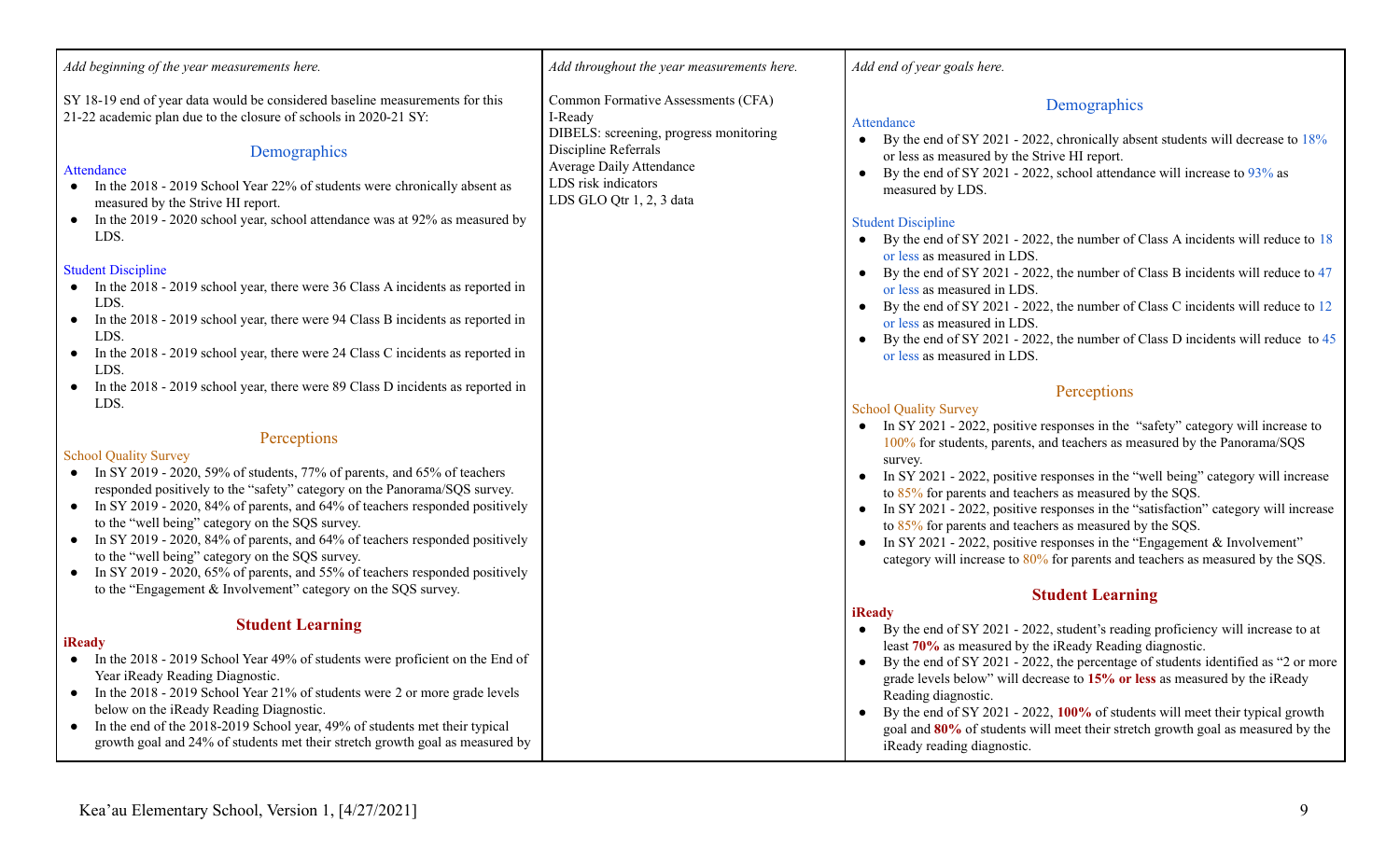SY 18-19 end of year data would be considered baseline measurements for this 21-22 academic plan due to the closure of schools in 2020-21 SY:

## Demographics

#### **Attendance**

- In the 2018 2019 School Year 22% of students were chronically absent as measured by the Strive HI report.
- In the 2019 2020 school year, school attendance was at  $92\%$  as measured by LDS.

#### Student Discipline

- In the 2018 2019 school year, there were 36 Class A incidents as reported in LDS.
- In the 2018 2019 school year, there were 94 Class B incidents as reported in LDS.
- In the 2018 2019 school year, there were 24 Class C incidents as reported in LDS.
- In the 2018 2019 school year, there were 89 Class D incidents as reported in LDS.

## **Perceptions**

## School Quality Survey

- $\bullet$  In SY 2019 2020, 59% of students, 77% of parents, and 65% of teachers responded positively to the "safety" category on the Panorama/SQS survey.
- In SY 2019 2020, 84% of parents, and 64% of teachers responded positively to the "well being" category on the SQS survey.
- In SY 2019 2020, 84% of parents, and 64% of teachers responded positively to the "well being" category on the SQS survey.
- In SY 2019 2020, 65% of parents, and 55% of teachers responded positively to the "Engagement & Involvement" category on the SQS survey.

# **Student Learning**

## **iReady**

- In the 2018 2019 School Year 49% of students were proficient on the End of Year iReady Reading Diagnostic.
- In the 2018 2019 School Year 21% of students were 2 or more grade levels below on the iReady Reading Diagnostic.
- In the end of the 2018-2019 School year, 49% of students met their typical growth goal and 24% of students met their stretch growth goal as measured by

*Add throughout the year measurements here.*

Common Formative Assessments (CFA) I-Ready DIBELS: screening, progress monitoring Discipline Referrals Average Daily Attendance LDS risk indicators LDS GLO Otr 1, 2, 3 data

## *Add end of year goals here.*

# **Demographics**

#### **Attendance**

- By the end of SY 2021 2022, chronically absent students will decrease to  $18\%$ or less as measured by the Strive HI report.
- By the end of SY 2021 2022, school attendance will increase to  $93\%$  as measured by LDS.

## Student Discipline

- By the end of SY 2021 2022, the number of Class A incidents will reduce to 18 or less as measured in LDS.
- By the end of SY 2021 2022, the number of Class B incidents will reduce to 47 or less as measured in LDS.
- By the end of SY 2021 2022, the number of Class C incidents will reduce to 12 or less as measured in LDS.
- By the end of SY 2021 2022, the number of Class D incidents will reduce to 45 or less as measured in LDS.

## **Perceptions**

## School Quality Survey

- In SY 2021 2022, positive responses in the "safety" category will increase to 100% for students, parents, and teachers as measured by the Panorama/SQS survey.
- In SY 2021 2022, positive responses in the "well being" category will increase to 85% for parents and teachers as measured by the SQS.
- In SY 2021 2022, positive responses in the "satisfaction" category will increase to 85% for parents and teachers as measured by the SQS.
- In SY 2021 2022, positive responses in the "Engagement  $& Involvement"$ category will increase to 80% for parents and teachers as measured by the SQS.

# **Student Learning**

#### **iReady**

- By the end of SY 2021 2022, student's reading proficiency will increase to at least **70%** as measured by the iReady Reading diagnostic.
- By the end of SY 2021 2022, the percentage of students identified as "2 or more grade levels below" will decrease to **15% or less** as measured by the iReady Reading diagnostic.
- By the end of SY 2021 2022, **100%** of students will meet their typical growth goal and **80%** of students will meet their stretch growth goal as measured by the iReady reading diagnostic.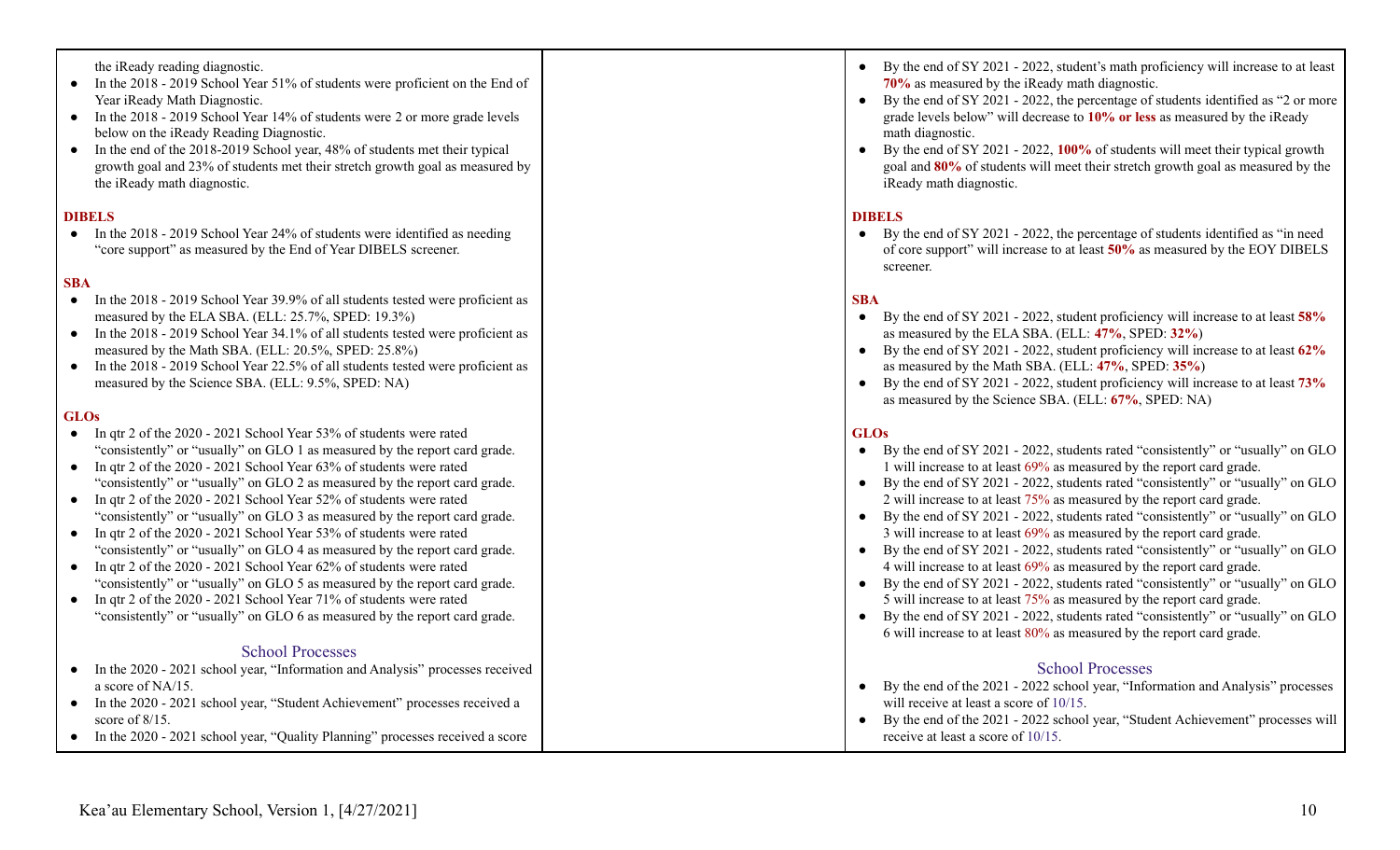the iReady reading diagnostic.

- In the 2018 2019 School Year 51% of students were proficient on the End of Year iReady Math Diagnostic.
- In the 2018 2019 School Year 14% of students were 2 or more grade levels below on the iReady Reading Diagnostic.
- In the end of the 2018-2019 School year, 48% of students met their typical growth goal and 23% of students met their stretch growth goal as measured by the iReady math diagnostic.

#### **DIBELS**

• In the 2018 - 2019 School Year 24% of students were identified as needing "core support" as measured by the End of Year DIBELS screener.

#### **SBA**

- In the 2018 2019 School Year 39.9% of all students tested were proficient as measured by the ELA SBA. (ELL: 25.7%, SPED: 19.3%)
- In the 2018 2019 School Year 34.1% of all students tested were proficient as measured by the Math SBA. (ELL: 20.5%, SPED: 25.8%)
- In the 2018 2019 School Year 22.5% of all students tested were proficient as measured by the Science SBA. (ELL: 9.5%, SPED: NA)

#### **GLOs**

- In qtr 2 of the 2020 2021 School Year 53% of students were rated "consistently" or "usually" on GLO 1 as measured by the report card grade.
- In qtr 2 of the 2020 2021 School Year 63% of students were rated "consistently" or "usually" on GLO 2 as measured by the report card grade.
- In qtr 2 of the 2020 2021 School Year 52% of students were rated "consistently" or "usually" on GLO 3 as measured by the report card grade.
- In qtr 2 of the 2020 2021 School Year 53% of students were rated "consistently" or "usually" on GLO 4 as measured by the report card grade.
- In qtr 2 of the 2020 2021 School Year 62% of students were rated "consistently" or "usually" on GLO 5 as measured by the report card grade.
- In qtr 2 of the 2020 2021 School Year 71% of students were rated "consistently" or "usually" on GLO 6 as measured by the report card grade.

## School Processes

- In the 2020 2021 school year, "Information and Analysis" processes received a score of NA/15.
- In the 2020 2021 school year, "Student Achievement" processes received a score of 8/15.
- In the 2020 2021 school year, "Quality Planning" processes received a score
- By the end of SY 2021 2022, student's math proficiency will increase to at least **70%** as measured by the iReady math diagnostic.
- By the end of SY 2021 2022, the percentage of students identified as "2 or more grade levels below" will decrease to **10% or less** as measured by the iReady math diagnostic.
- By the end of SY 2021 2022, **100%** of students will meet their typical growth goal and **80%** of students will meet their stretch growth goal as measured by the iReady math diagnostic.

#### **DIBELS**

● By the end of SY 2021 - 2022, the percentage of students identified as "in need of core support" will increase to at least **50%** as measured by the EOY DIBELS screener.

#### **SBA**

- By the end of SY 2021 2022, student proficiency will increase to at least **58%** as measured by the ELA SBA. (ELL: **47%**, SPED: **32%**)
- By the end of SY 2021 2022, student proficiency will increase to at least **62%** as measured by the Math SBA. (ELL: **47%**, SPED: **35%**)
- By the end of SY 2021 2022, student proficiency will increase to at least **73%** as measured by the Science SBA. (ELL: **67%**, SPED: NA)

## **GLOs**

| By the end of SY 2021 - 2022, students rated "consistently" or "usually" on GLO                                            |
|----------------------------------------------------------------------------------------------------------------------------|
| 1 will increase to at least 69% as measured by the report card grade.                                                      |
| By the end of SY 2021 - 2022, students rated "consistently" or "usually" on GLO                                            |
| 2 will increase to at least 75% as measured by the report card grade.                                                      |
| By the end of SY 2021 - 2022, students rated "consistently" or "usually" on GLO                                            |
| 3 will increase to at least 69% as measured by the report card grade.                                                      |
| By the end of SY 2021 - 2022, students rated "consistently" or "usually" on GLO                                            |
| 4 will increase to at least 69% as measured by the report card grade.                                                      |
| By the end of SY 2021 - 2022, students rated "consistently" or "usually" on GLO                                            |
| 5 will increase to at least 75% as measured by the report card grade.                                                      |
| By the end of SY 2021 - 2022, students rated "consistently" or "usually" on GLO                                            |
| 6 will increase to at least $80\%$ as measured by the report card grade.                                                   |
| <b>School Processes</b>                                                                                                    |
| By the end of the 2021 - 2022 school year, "Information and Analysis" processes<br>will receive at least a score of 10/15. |

● By the end of the 2021 - 2022 school year, "Student Achievement" processes will receive at least a score of 10/15.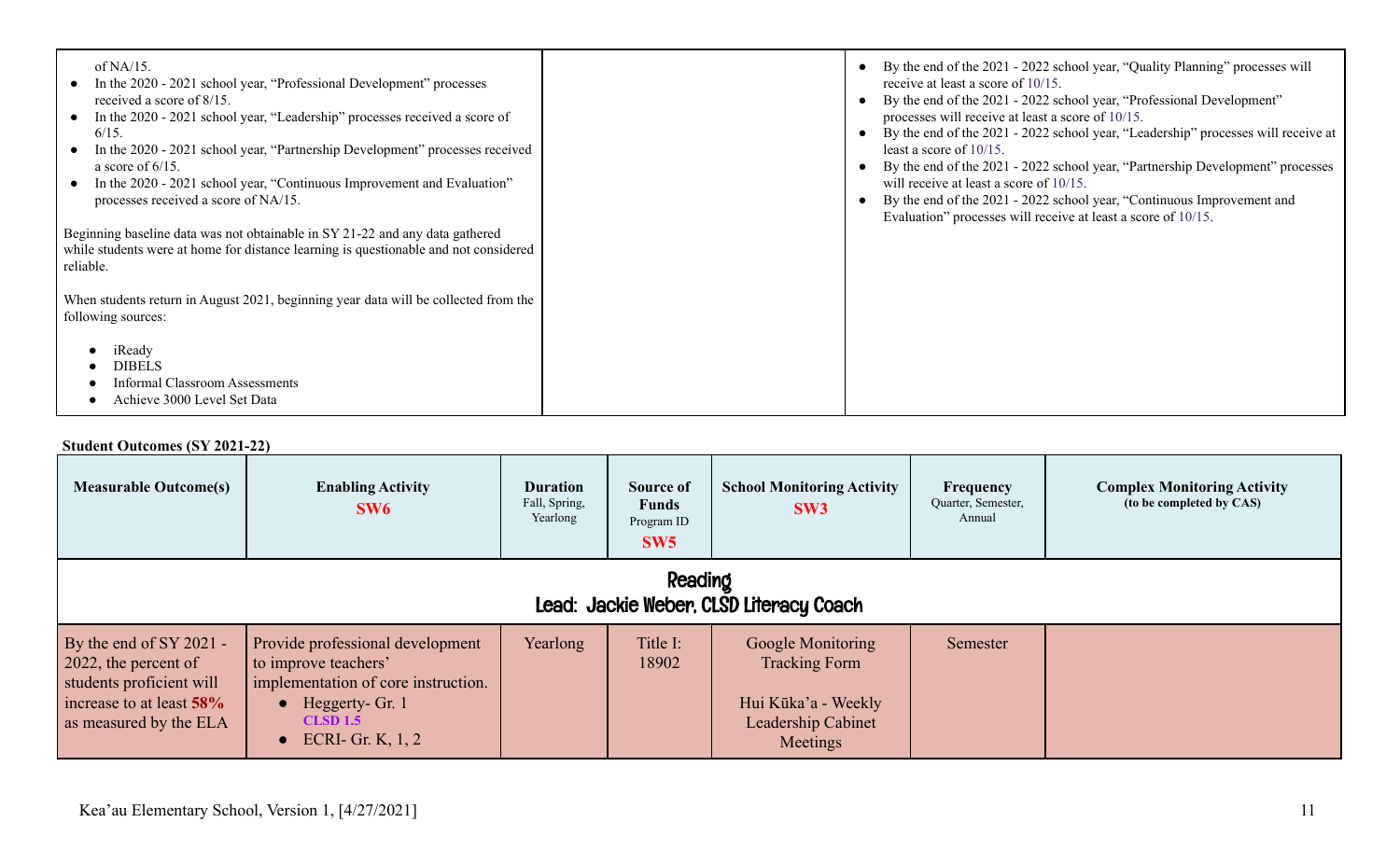| of NA/15.<br>In the 2020 - 2021 school year, "Professional Development" processes<br>received a score of 8/15.<br>In the 2020 - 2021 school year, "Leadership" processes received a score of<br>$6/15$ .<br>In the 2020 - 2021 school year, "Partnership Development" processes received<br>a score of $6/15$ .<br>In the 2020 - 2021 school year, "Continuous Improvement and Evaluation"<br>processes received a score of NA/15.<br>Beginning baseline data was not obtainable in SY 21-22 and any data gathered<br>while students were at home for distance learning is questionable and not considered<br>reliable.<br>When students return in August 2021, beginning year data will be collected from the<br>following sources: | By the end of the 2021 - 2022 school year, "Quality Planning" processes will<br>$\bullet$<br>receive at least a score of 10/15.<br>By the end of the 2021 - 2022 school year, "Professional Development"<br>processes will receive at least a score of 10/15.<br>By the end of the 2021 - 2022 school year, "Leadership" processes will receive at<br>least a score of $10/15$ .<br>By the end of the 2021 - 2022 school year, "Partnership Development" processes<br>will receive at least a score of 10/15.<br>By the end of the 2021 - 2022 school year, "Continuous Improvement and<br>Evaluation" processes will receive at least a score of 10/15. |
|--------------------------------------------------------------------------------------------------------------------------------------------------------------------------------------------------------------------------------------------------------------------------------------------------------------------------------------------------------------------------------------------------------------------------------------------------------------------------------------------------------------------------------------------------------------------------------------------------------------------------------------------------------------------------------------------------------------------------------------|----------------------------------------------------------------------------------------------------------------------------------------------------------------------------------------------------------------------------------------------------------------------------------------------------------------------------------------------------------------------------------------------------------------------------------------------------------------------------------------------------------------------------------------------------------------------------------------------------------------------------------------------------------|
| iReady<br><b>DIBELS</b><br><b>Informal Classroom Assessments</b><br>Achieve 3000 Level Set Data                                                                                                                                                                                                                                                                                                                                                                                                                                                                                                                                                                                                                                      |                                                                                                                                                                                                                                                                                                                                                                                                                                                                                                                                                                                                                                                          |

## **Student Outcomes (SY 2021-22)**

| <b>Measurable Outcome(s)</b>                                                                                                        | <b>Enabling Activity</b><br>SW6                                                                                                                                                | <b>Duration</b><br>Fall, Spring,<br>Yearlong | Source of<br><b>Funds</b><br>Program ID<br>SW5 | <b>School Monitoring Activity</b><br>SW3                                                           | Frequency<br>Quarter, Semester,<br>Annual | <b>Complex Monitoring Activity</b><br>(to be completed by CAS) |
|-------------------------------------------------------------------------------------------------------------------------------------|--------------------------------------------------------------------------------------------------------------------------------------------------------------------------------|----------------------------------------------|------------------------------------------------|----------------------------------------------------------------------------------------------------|-------------------------------------------|----------------------------------------------------------------|
| Reading<br>Lead: Jackie Weber, CLSD Literacy Coach                                                                                  |                                                                                                                                                                                |                                              |                                                |                                                                                                    |                                           |                                                                |
| By the end of $SY$ 2021 -<br>2022, the percent of<br>students proficient will<br>increase to at least 58%<br>as measured by the ELA | Provide professional development<br>to improve teachers'<br>implementation of core instruction.<br>$\bullet$ Heggerty- Gr. 1<br><b>CLSD 1.5</b><br>$\bullet$ ECRI- Gr. K, 1, 2 | Yearlong                                     | Title I:<br>18902                              | Google Monitoring<br><b>Tracking Form</b><br>Hui Kūka'a - Weekly<br>Leadership Cabinet<br>Meetings | Semester                                  |                                                                |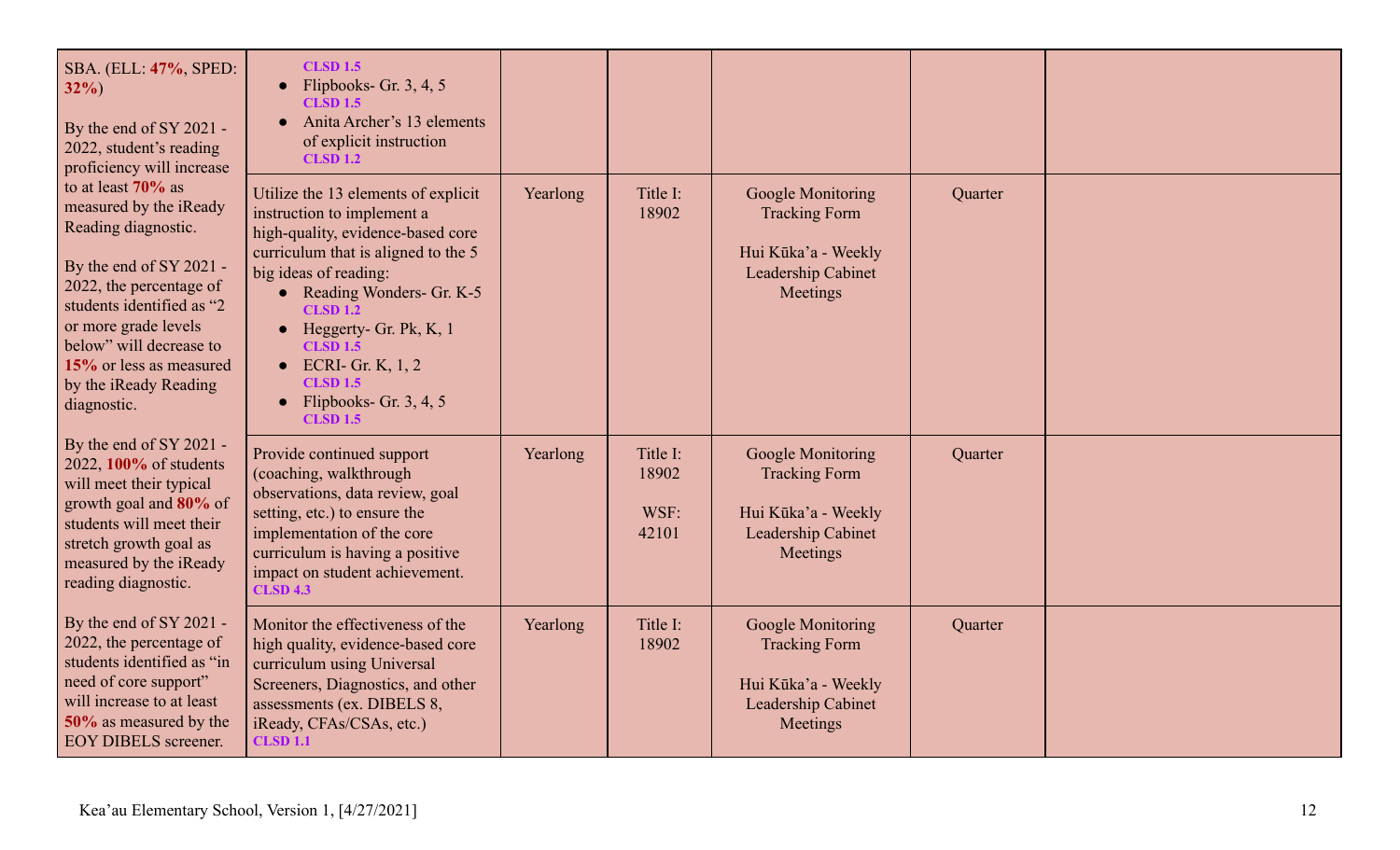| SBA. (ELL: 47%, SPED:<br>$32\%$<br>By the end of SY 2021 -<br>2022, student's reading<br>proficiency will increase                                                                                                                                                           | <b>CLSD 1.5</b><br>Flipbooks- Gr. $3, 4, 5$<br><b>CLSD 1.5</b><br>Anita Archer's 13 elements<br>of explicit instruction<br><b>CLSD 1.2</b>                                                                                                                                                                                                                                                     |          |                                    |                                                                                                    |         |  |
|------------------------------------------------------------------------------------------------------------------------------------------------------------------------------------------------------------------------------------------------------------------------------|------------------------------------------------------------------------------------------------------------------------------------------------------------------------------------------------------------------------------------------------------------------------------------------------------------------------------------------------------------------------------------------------|----------|------------------------------------|----------------------------------------------------------------------------------------------------|---------|--|
| to at least 70% as<br>measured by the iReady<br>Reading diagnostic.<br>By the end of SY 2021 -<br>2022, the percentage of<br>students identified as "2<br>or more grade levels<br>below" will decrease to<br>15% or less as measured<br>by the iReady Reading<br>diagnostic. | Utilize the 13 elements of explicit<br>instruction to implement a<br>high-quality, evidence-based core<br>curriculum that is aligned to the 5<br>big ideas of reading:<br>• Reading Wonders- Gr. K-5<br><b>CLSD 1.2</b><br>Heggerty- Gr. Pk, K, 1<br>$\bullet$<br><b>CLSD 1.5</b><br>$\bullet$ ECRI-Gr. K, 1, 2<br><b>CLSD 1.5</b><br>Flipbooks- Gr. $3, 4, 5$<br>$\bullet$<br><b>CLSD 1.5</b> | Yearlong | Title I:<br>18902                  | Google Monitoring<br><b>Tracking Form</b><br>Hui Kūka'a - Weekly<br>Leadership Cabinet<br>Meetings | Quarter |  |
| By the end of SY 2021 -<br>2022, 100% of students<br>will meet their typical<br>growth goal and 80% of<br>students will meet their<br>stretch growth goal as<br>measured by the iReady<br>reading diagnostic.                                                                | Provide continued support<br>(coaching, walkthrough<br>observations, data review, goal<br>setting, etc.) to ensure the<br>implementation of the core<br>curriculum is having a positive<br>impact on student achievement.<br><b>CLSD 4.3</b>                                                                                                                                                   | Yearlong | Title I:<br>18902<br>WSF:<br>42101 | Google Monitoring<br><b>Tracking Form</b><br>Hui Kūka'a - Weekly<br>Leadership Cabinet<br>Meetings | Quarter |  |
| By the end of SY 2021 -<br>2022, the percentage of<br>students identified as "in<br>need of core support"<br>will increase to at least<br>50% as measured by the<br><b>EOY DIBELS screener.</b>                                                                              | Monitor the effectiveness of the<br>high quality, evidence-based core<br>curriculum using Universal<br>Screeners, Diagnostics, and other<br>assessments (ex. DIBELS 8,<br>iReady, CFAs/CSAs, etc.)<br><b>CLSD 1.1</b>                                                                                                                                                                          | Yearlong | Title I:<br>18902                  | Google Monitoring<br><b>Tracking Form</b><br>Hui Kūka'a - Weekly<br>Leadership Cabinet<br>Meetings | Quarter |  |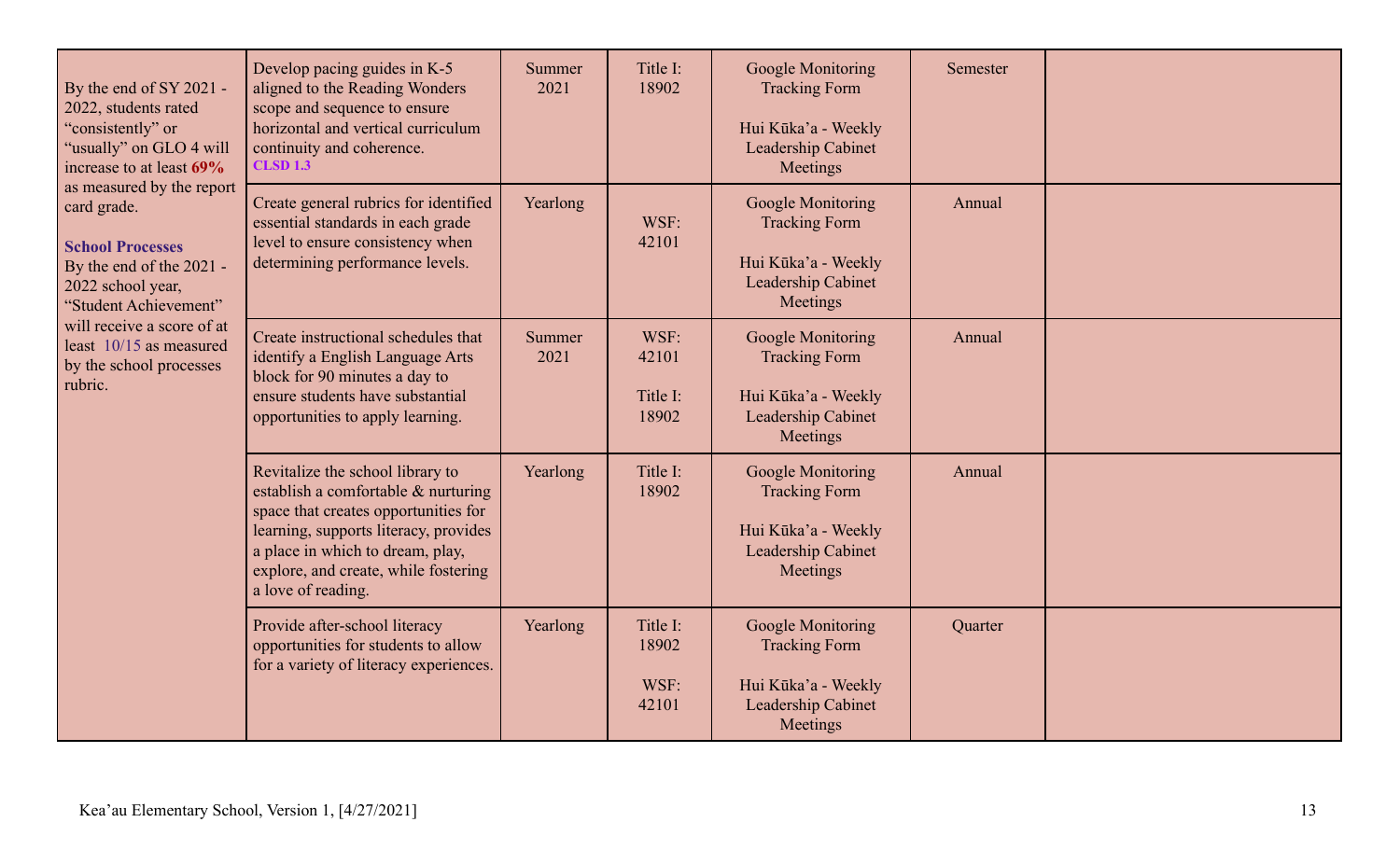| By the end of SY 2021 -<br>2022, students rated<br>"consistently" or<br>"usually" on GLO 4 will<br>increase to at least 69%<br>as measured by the report<br>card grade.<br><b>School Processes</b><br>By the end of the 2021 -<br>2022 school year,<br>"Student Achievement"<br>will receive a score of at<br>least 10/15 as measured<br>by the school processes<br>rubric. | Develop pacing guides in K-5<br>aligned to the Reading Wonders<br>scope and sequence to ensure<br>horizontal and vertical curriculum<br>continuity and coherence.<br><b>CLSD 1.3</b>                                                                       | Summer<br>2021 | Title I:<br>18902                  | Google Monitoring<br><b>Tracking Form</b><br>Hui Kūka'a - Weekly<br>Leadership Cabinet<br>Meetings        | Semester |  |
|-----------------------------------------------------------------------------------------------------------------------------------------------------------------------------------------------------------------------------------------------------------------------------------------------------------------------------------------------------------------------------|------------------------------------------------------------------------------------------------------------------------------------------------------------------------------------------------------------------------------------------------------------|----------------|------------------------------------|-----------------------------------------------------------------------------------------------------------|----------|--|
|                                                                                                                                                                                                                                                                                                                                                                             | Create general rubrics for identified<br>essential standards in each grade<br>level to ensure consistency when<br>determining performance levels.                                                                                                          | Yearlong       | WSF:<br>42101                      | Google Monitoring<br><b>Tracking Form</b><br>Hui Kūka'a - Weekly<br>Leadership Cabinet<br>Meetings        | Annual   |  |
|                                                                                                                                                                                                                                                                                                                                                                             | Create instructional schedules that<br>identify a English Language Arts<br>block for 90 minutes a day to<br>ensure students have substantial<br>opportunities to apply learning.                                                                           | Summer<br>2021 | WSF:<br>42101<br>Title I:<br>18902 | Google Monitoring<br><b>Tracking Form</b><br>Hui Kūka'a - Weekly<br>Leadership Cabinet<br>Meetings        | Annual   |  |
|                                                                                                                                                                                                                                                                                                                                                                             | Revitalize the school library to<br>establish a comfortable & nurturing<br>space that creates opportunities for<br>learning, supports literacy, provides<br>a place in which to dream, play,<br>explore, and create, while fostering<br>a love of reading. | Yearlong       | Title I:<br>18902                  | <b>Google Monitoring</b><br><b>Tracking Form</b><br>Hui Kūka'a - Weekly<br>Leadership Cabinet<br>Meetings | Annual   |  |
|                                                                                                                                                                                                                                                                                                                                                                             | Provide after-school literacy<br>opportunities for students to allow<br>for a variety of literacy experiences.                                                                                                                                             | Yearlong       | Title I:<br>18902<br>WSF:<br>42101 | Google Monitoring<br><b>Tracking Form</b><br>Hui Kūka'a - Weekly<br>Leadership Cabinet<br>Meetings        | Quarter  |  |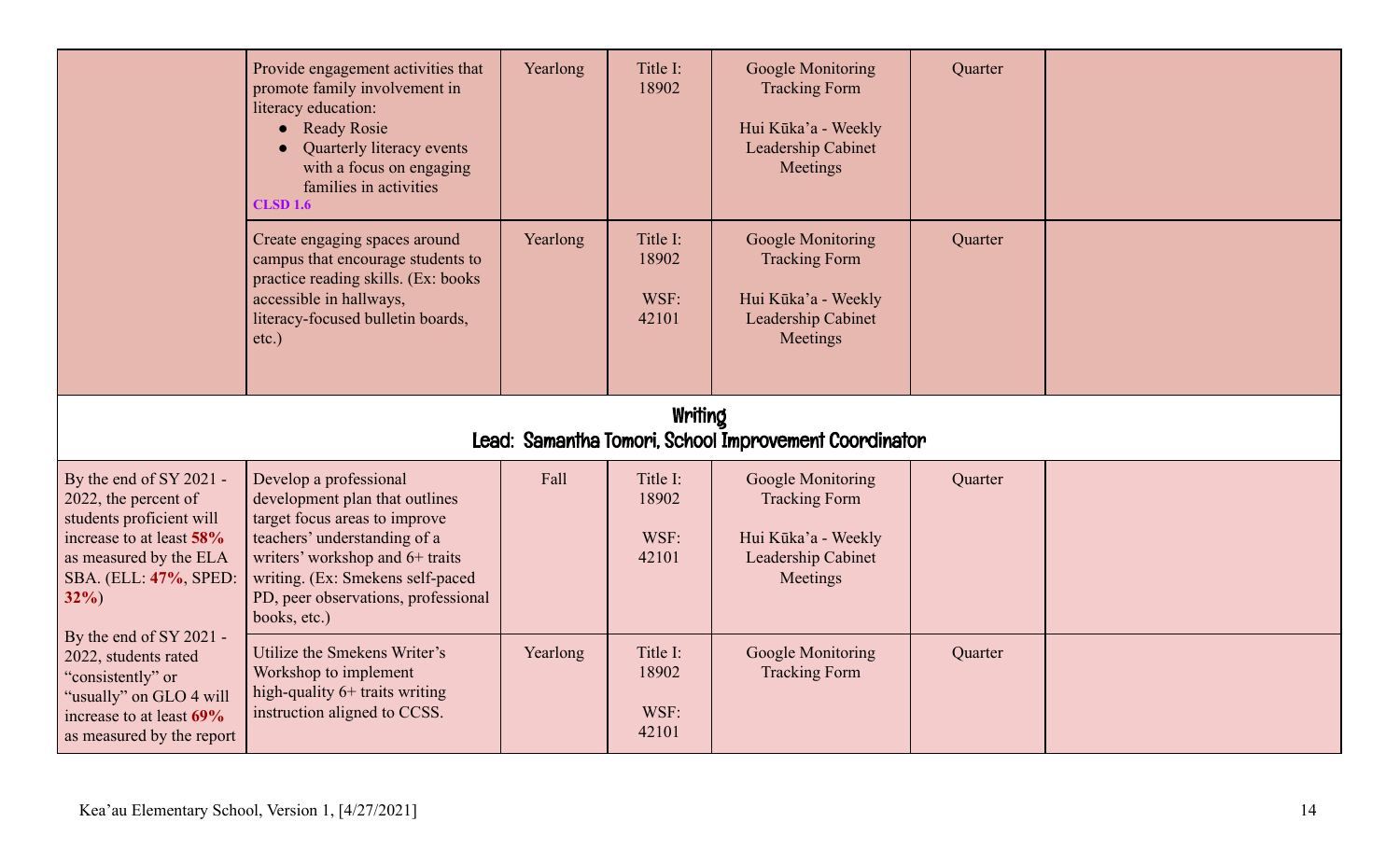|                                                                                                                                                                      | Provide engagement activities that<br>promote family involvement in<br>literacy education:<br>• Ready Rosie<br>Quarterly literacy events<br>with a focus on engaging<br>families in activities<br><b>CLSD 1.6</b>                                       | Yearlong | Title I:<br>18902                  | Google Monitoring<br><b>Tracking Form</b><br>Hui Kūka'a - Weekly<br>Leadership Cabinet<br>Meetings | Quarter |  |  |  |
|----------------------------------------------------------------------------------------------------------------------------------------------------------------------|---------------------------------------------------------------------------------------------------------------------------------------------------------------------------------------------------------------------------------------------------------|----------|------------------------------------|----------------------------------------------------------------------------------------------------|---------|--|--|--|
|                                                                                                                                                                      | Create engaging spaces around<br>campus that encourage students to<br>practice reading skills. (Ex: books<br>accessible in hallways,<br>literacy-focused bulletin boards,<br>etc.)                                                                      | Yearlong | Title I:<br>18902<br>WSF:<br>42101 | Google Monitoring<br><b>Tracking Form</b><br>Hui Kūka'a - Weekly<br>Leadership Cabinet<br>Meetings | Quarter |  |  |  |
| Writing<br>Lead: Samantha Tomori, School Improvement Coordinator                                                                                                     |                                                                                                                                                                                                                                                         |          |                                    |                                                                                                    |         |  |  |  |
| By the end of SY 2021 -<br>2022, the percent of<br>students proficient will<br>increase to at least 58%<br>as measured by the ELA<br>SBA. (ELL: 47%, SPED:<br>$32\%$ | Develop a professional<br>development plan that outlines<br>target focus areas to improve<br>teachers' understanding of a<br>writers' workshop and 6+ traits<br>writing. (Ex: Smekens self-paced<br>PD, peer observations, professional<br>books, etc.) | Fall     | Title I:<br>18902<br>WSF:<br>42101 | Google Monitoring<br><b>Tracking Form</b><br>Hui Kūka'a - Weekly<br>Leadership Cabinet<br>Meetings | Quarter |  |  |  |
| By the end of SY 2021 -<br>2022, students rated<br>"consistently" or<br>"usually" on GLO 4 will<br>increase to at least 69%                                          | Utilize the Smekens Writer's<br>Workshop to implement<br>high-quality 6+ traits writing<br>instruction aligned to CCSS.                                                                                                                                 | Yearlong | Title I:<br>18902<br>WSF:          | Google Monitoring<br><b>Tracking Form</b>                                                          | Quarter |  |  |  |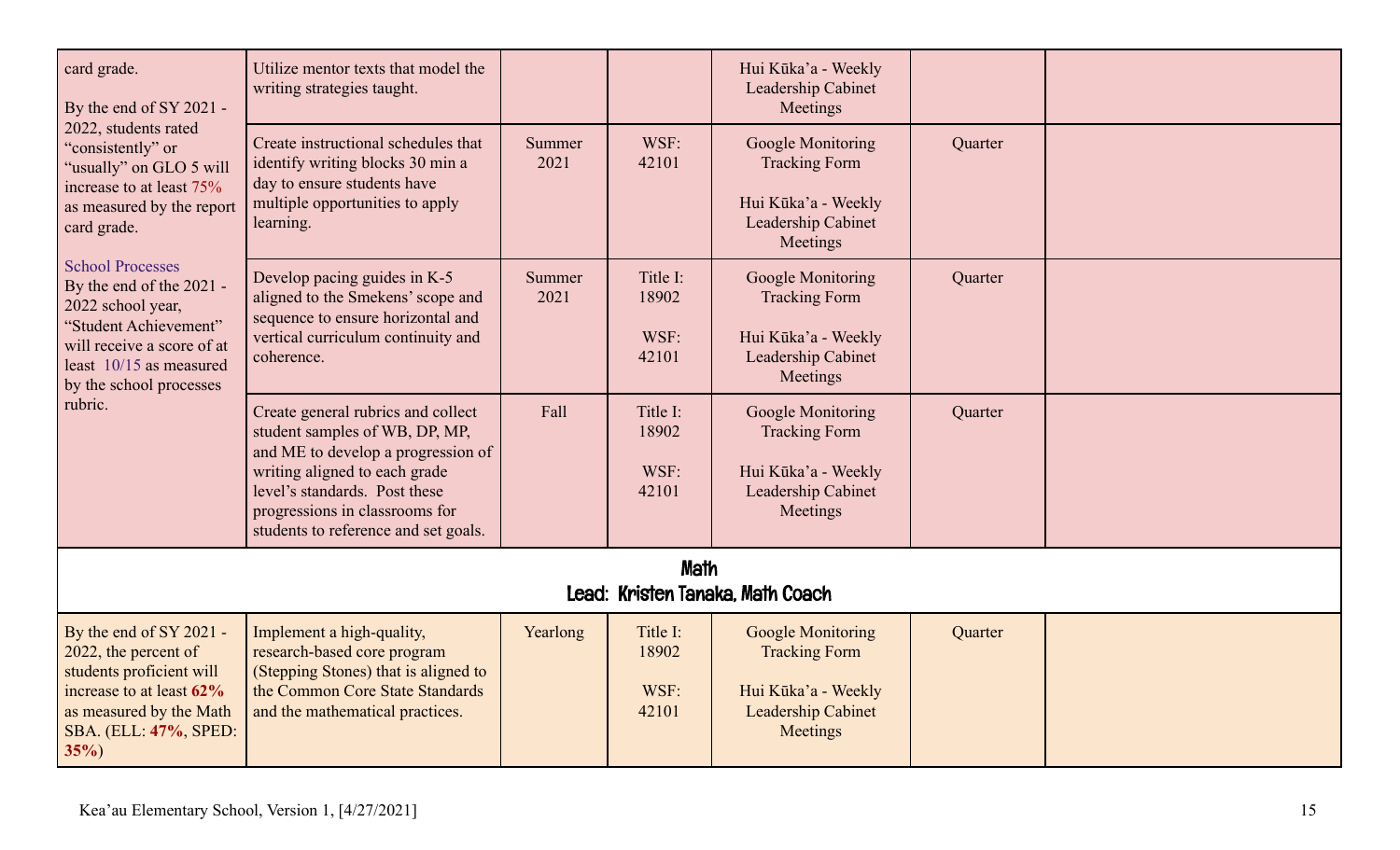| card grade.<br>By the end of SY 2021 -<br>2022, students rated<br>"consistently" or<br>"usually" on GLO 5 will<br>increase to at least 75%<br>as measured by the report<br>card grade.<br><b>School Processes</b><br>By the end of the 2021 -<br>2022 school year,<br>"Student Achievement"<br>will receive a score of at<br>least 10/15 as measured<br>by the school processes<br>rubric. | Utilize mentor texts that model the<br>writing strategies taught.                                                                                                                                                                                      |                |                                    | Hui Kūka'a - Weekly<br>Leadership Cabinet<br>Meetings                                                            |         |  |  |  |
|--------------------------------------------------------------------------------------------------------------------------------------------------------------------------------------------------------------------------------------------------------------------------------------------------------------------------------------------------------------------------------------------|--------------------------------------------------------------------------------------------------------------------------------------------------------------------------------------------------------------------------------------------------------|----------------|------------------------------------|------------------------------------------------------------------------------------------------------------------|---------|--|--|--|
|                                                                                                                                                                                                                                                                                                                                                                                            | Create instructional schedules that<br>identify writing blocks 30 min a<br>day to ensure students have<br>multiple opportunities to apply<br>learning.                                                                                                 | Summer<br>2021 | WSF:<br>42101                      | Google Monitoring<br><b>Tracking Form</b><br>Hui Kūka'a - Weekly<br>Leadership Cabinet<br>Meetings               | Quarter |  |  |  |
|                                                                                                                                                                                                                                                                                                                                                                                            | Develop pacing guides in K-5<br>aligned to the Smekens' scope and<br>sequence to ensure horizontal and<br>vertical curriculum continuity and<br>coherence.                                                                                             | Summer<br>2021 | Title I:<br>18902<br>WSF:<br>42101 | Google Monitoring<br><b>Tracking Form</b><br>Hui Kūka'a - Weekly<br>Leadership Cabinet<br>Meetings               | Quarter |  |  |  |
|                                                                                                                                                                                                                                                                                                                                                                                            | Create general rubrics and collect<br>student samples of WB, DP, MP,<br>and ME to develop a progression of<br>writing aligned to each grade<br>level's standards. Post these<br>progressions in classrooms for<br>students to reference and set goals. | Fall           | Title I:<br>18902<br>WSF:<br>42101 | Google Monitoring<br><b>Tracking Form</b><br>Hui Kūka'a - Weekly<br>Leadership Cabinet<br>Meetings               | Quarter |  |  |  |
| Math<br>Lead: Kristen Tanaka, Math Coach                                                                                                                                                                                                                                                                                                                                                   |                                                                                                                                                                                                                                                        |                |                                    |                                                                                                                  |         |  |  |  |
| By the end of SY 2021 -<br>2022, the percent of<br>students proficient will<br>increase to at least 62%<br>as measured by the Math<br>SBA. (ELL: 47%, SPED:<br>$35\%)$                                                                                                                                                                                                                     | Implement a high-quality,<br>research-based core program<br>(Stepping Stones) that is aligned to<br>the Common Core State Standards<br>and the mathematical practices.                                                                                 | Yearlong       | Title I:<br>18902<br>WSF:<br>42101 | <b>Google Monitoring</b><br><b>Tracking Form</b><br>Hui Kūka'a - Weekly<br><b>Leadership Cabinet</b><br>Meetings | Quarter |  |  |  |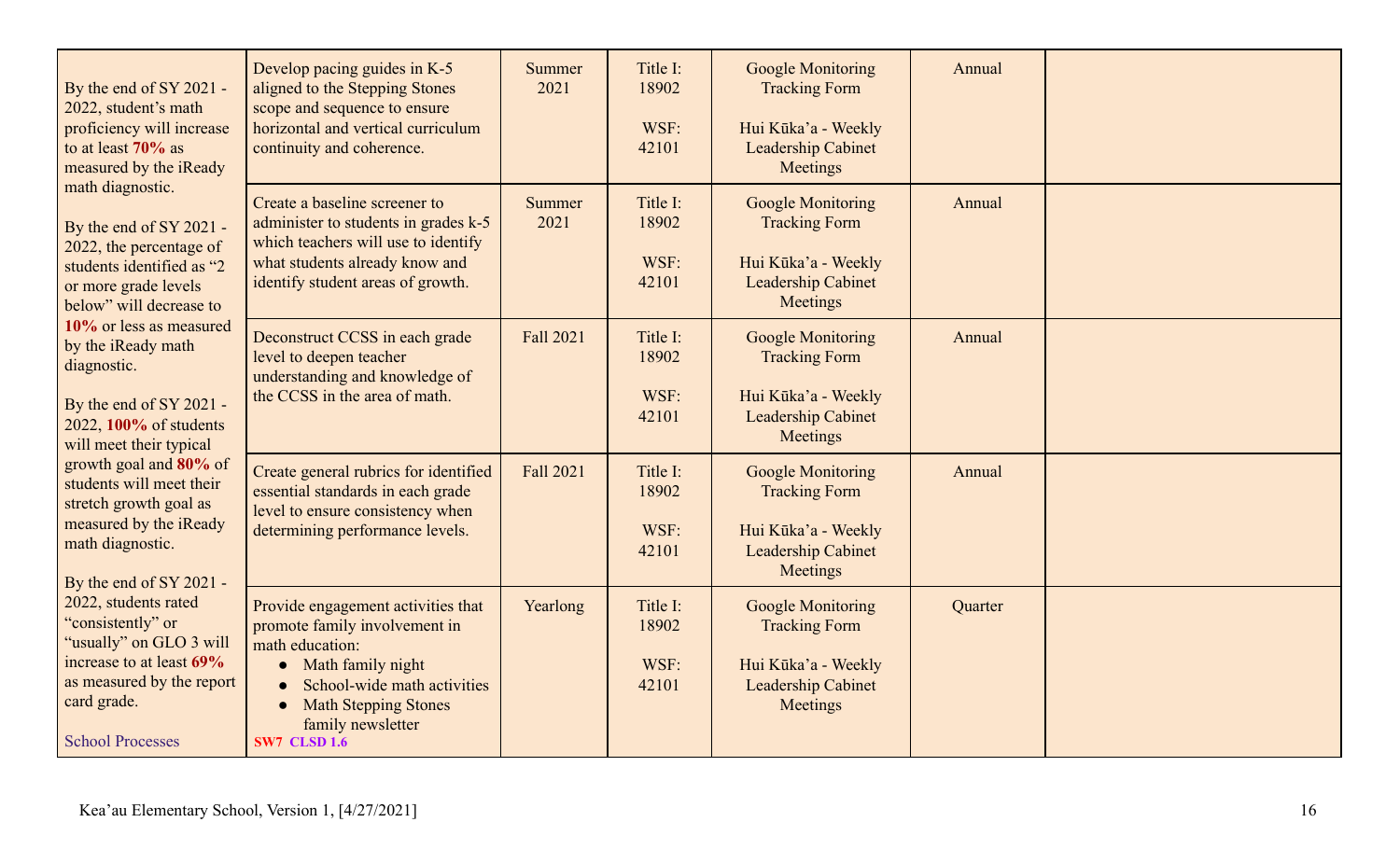| By the end of SY 2021 -<br>2022, student's math<br>proficiency will increase<br>to at least 70% as<br>measured by the iReady<br>math diagnostic.<br>By the end of SY 2021 -<br>2022, the percentage of<br>students identified as "2<br>or more grade levels<br>below" will decrease to<br>10% or less as measured<br>by the iReady math<br>diagnostic.<br>By the end of SY 2021 -<br>2022, 100% of students<br>will meet their typical<br>growth goal and 80% of<br>students will meet their<br>stretch growth goal as<br>measured by the iReady<br>math diagnostic.<br>By the end of SY 2021 - | Develop pacing guides in K-5<br>aligned to the Stepping Stones<br>scope and sequence to ensure<br>horizontal and vertical curriculum<br>continuity and coherence.                                                                    | Summer<br>2021        | Title I:<br>18902<br>WSF:<br>42101 | <b>Google Monitoring</b><br><b>Tracking Form</b><br>Hui Kūka'a - Weekly<br>Leadership Cabinet<br>Meetings        | Annual  |  |
|-------------------------------------------------------------------------------------------------------------------------------------------------------------------------------------------------------------------------------------------------------------------------------------------------------------------------------------------------------------------------------------------------------------------------------------------------------------------------------------------------------------------------------------------------------------------------------------------------|--------------------------------------------------------------------------------------------------------------------------------------------------------------------------------------------------------------------------------------|-----------------------|------------------------------------|------------------------------------------------------------------------------------------------------------------|---------|--|
|                                                                                                                                                                                                                                                                                                                                                                                                                                                                                                                                                                                                 | Create a baseline screener to<br>administer to students in grades k-5<br>which teachers will use to identify<br>what students already know and<br>identify student areas of growth.                                                  | <b>Summer</b><br>2021 | Title I:<br>18902<br>WSF:<br>42101 | <b>Google Monitoring</b><br><b>Tracking Form</b><br>Hui Kūka'a - Weekly<br><b>Leadership Cabinet</b><br>Meetings | Annual  |  |
|                                                                                                                                                                                                                                                                                                                                                                                                                                                                                                                                                                                                 | Deconstruct CCSS in each grade<br>level to deepen teacher<br>understanding and knowledge of<br>the CCSS in the area of math.                                                                                                         | <b>Fall 2021</b>      | Title I:<br>18902<br>WSF:<br>42101 | <b>Google Monitoring</b><br><b>Tracking Form</b><br>Hui Kūka'a - Weekly<br>Leadership Cabinet<br>Meetings        | Annual  |  |
|                                                                                                                                                                                                                                                                                                                                                                                                                                                                                                                                                                                                 | Create general rubrics for identified<br>essential standards in each grade<br>level to ensure consistency when<br>determining performance levels.                                                                                    | Fall 2021             | Title I:<br>18902<br>WSF:<br>42101 | <b>Google Monitoring</b><br><b>Tracking Form</b><br>Hui Kūka'a - Weekly<br>Leadership Cabinet<br>Meetings        | Annual  |  |
| 2022, students rated<br>"consistently" or<br>"usually" on GLO 3 will<br>increase to at least 69%<br>as measured by the report<br>card grade.<br><b>School Processes</b>                                                                                                                                                                                                                                                                                                                                                                                                                         | Provide engagement activities that<br>promote family involvement in<br>math education:<br>• Math family night<br>School-wide math activities<br><b>Math Stepping Stones</b><br>$\bullet$<br>family newsletter<br><b>SW7 CLSD 1.6</b> | Yearlong              | Title I:<br>18902<br>WSF:<br>42101 | <b>Google Monitoring</b><br><b>Tracking Form</b><br>Hui Kūka'a - Weekly<br><b>Leadership Cabinet</b><br>Meetings | Quarter |  |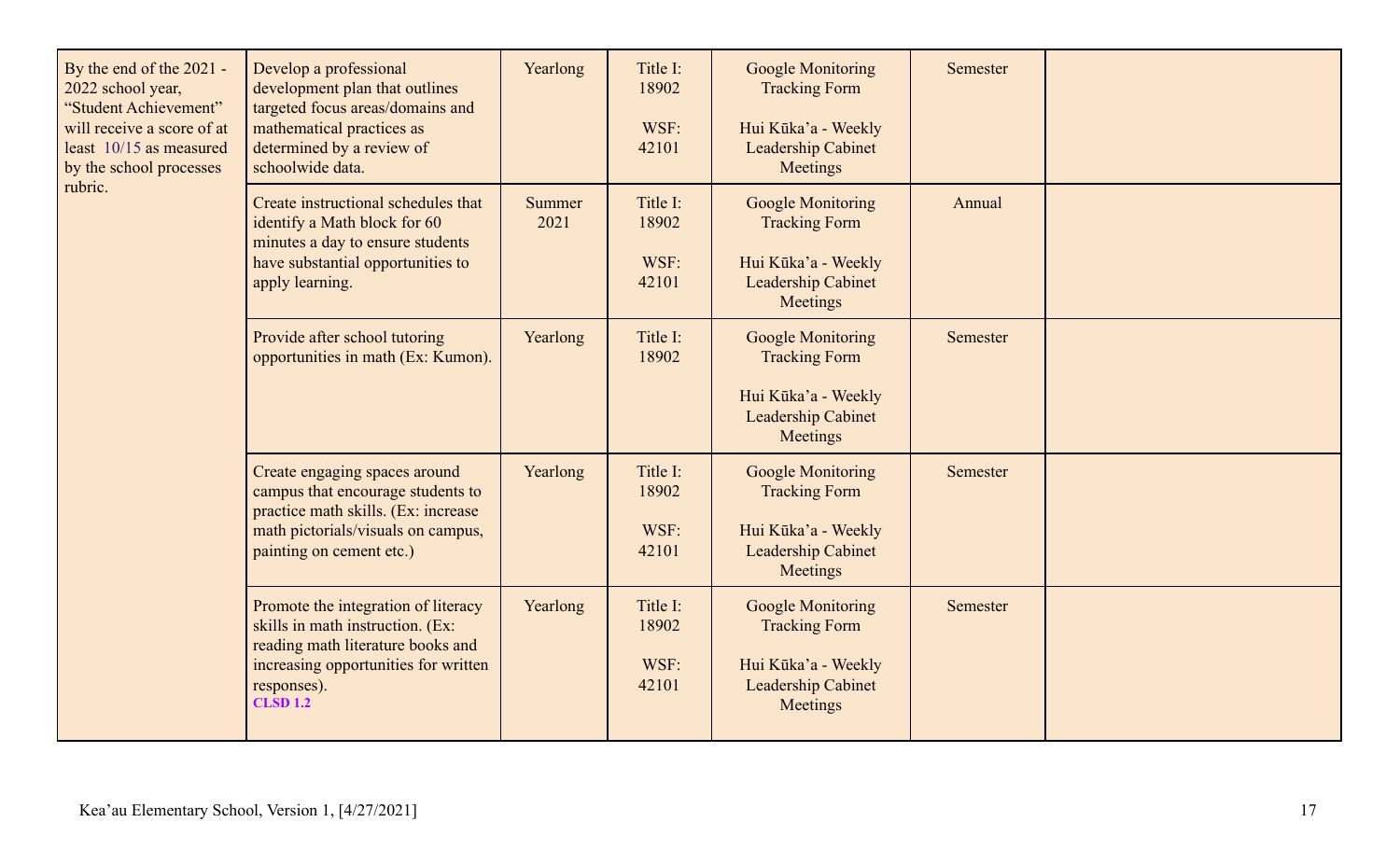| By the end of the 2021 -<br>2022 school year,<br>"Student Achievement"<br>will receive a score of at<br>least 10/15 as measured<br>by the school processes<br>rubric. | Develop a professional<br>development plan that outlines<br>targeted focus areas/domains and<br>mathematical practices as<br>determined by a review of<br>schoolwide data.             | Yearlong              | Title I:<br>18902<br>WSF:<br>42101 | <b>Google Monitoring</b><br><b>Tracking Form</b><br>Hui Kūka'a - Weekly<br><b>Leadership Cabinet</b><br>Meetings | Semester |  |
|-----------------------------------------------------------------------------------------------------------------------------------------------------------------------|----------------------------------------------------------------------------------------------------------------------------------------------------------------------------------------|-----------------------|------------------------------------|------------------------------------------------------------------------------------------------------------------|----------|--|
|                                                                                                                                                                       | Create instructional schedules that<br>identify a Math block for 60<br>minutes a day to ensure students<br>have substantial opportunities to<br>apply learning.                        | <b>Summer</b><br>2021 | Title I:<br>18902<br>WSF:<br>42101 | <b>Google Monitoring</b><br><b>Tracking Form</b><br>Hui Kūka'a - Weekly<br><b>Leadership Cabinet</b><br>Meetings | Annual   |  |
|                                                                                                                                                                       | Provide after school tutoring<br>opportunities in math (Ex: Kumon).                                                                                                                    | Yearlong              | Title I:<br>18902                  | <b>Google Monitoring</b><br><b>Tracking Form</b><br>Hui Kūka'a - Weekly<br><b>Leadership Cabinet</b><br>Meetings | Semester |  |
|                                                                                                                                                                       | Create engaging spaces around<br>campus that encourage students to<br>practice math skills. (Ex: increase<br>math pictorials/visuals on campus,<br>painting on cement etc.)            | Yearlong              | Title I:<br>18902<br>WSF:<br>42101 | <b>Google Monitoring</b><br><b>Tracking Form</b><br>Hui Kūka'a - Weekly<br><b>Leadership Cabinet</b><br>Meetings | Semester |  |
|                                                                                                                                                                       | Promote the integration of literacy<br>skills in math instruction. (Ex:<br>reading math literature books and<br>increasing opportunities for written<br>responses).<br><b>CLSD 1.2</b> | Yearlong              | Title I:<br>18902<br>WSF:<br>42101 | <b>Google Monitoring</b><br><b>Tracking Form</b><br>Hui Kūka'a - Weekly<br><b>Leadership Cabinet</b><br>Meetings | Semester |  |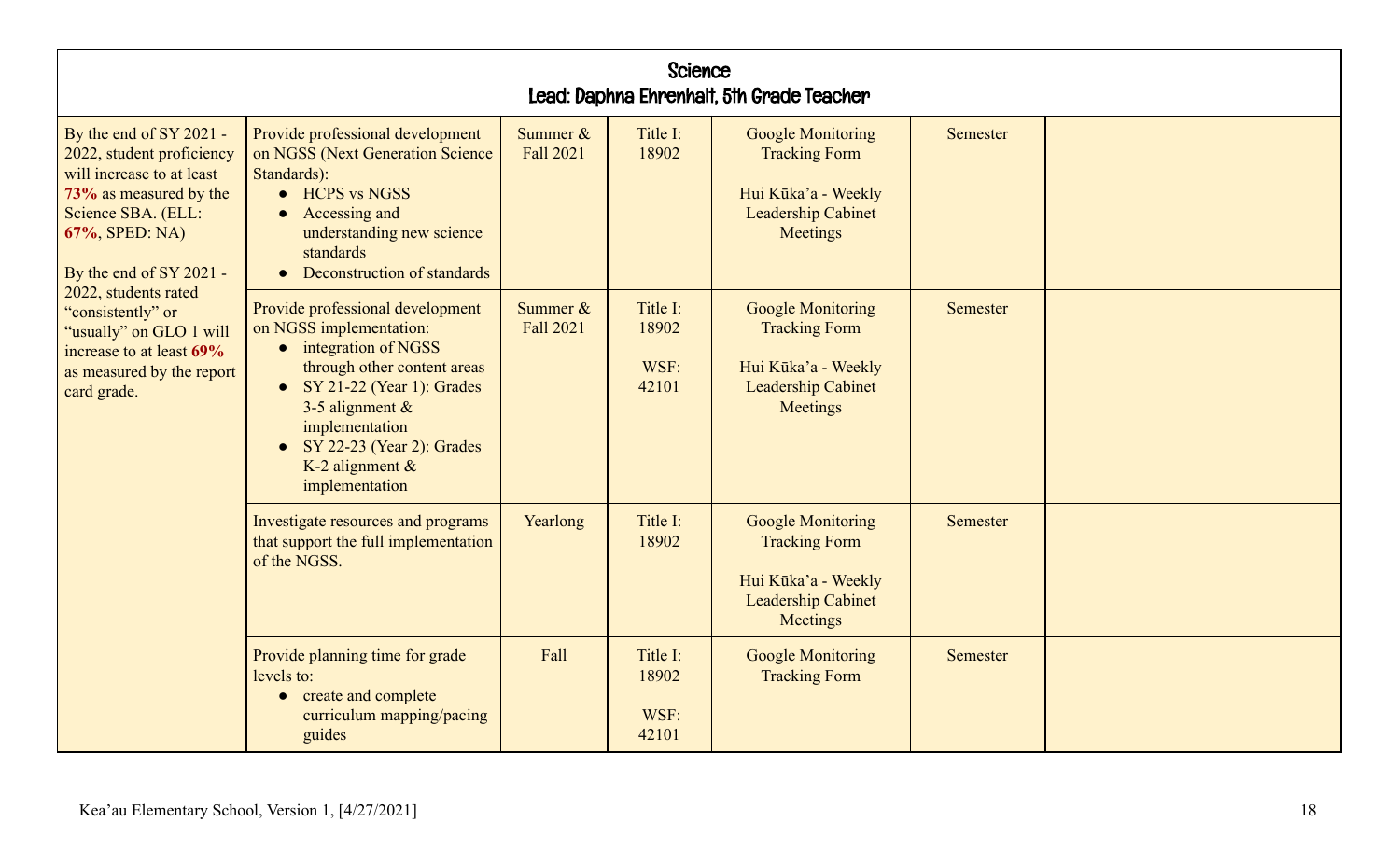| <b>Science</b><br>Lead: Daphna Ehrenhalt, 5th Grade Teacher                                                                                                                                                                                                                                                                    |                                                                                                                                                                                                                                                                                              |                                 |                                    |                                                                                                                  |                 |  |  |  |  |
|--------------------------------------------------------------------------------------------------------------------------------------------------------------------------------------------------------------------------------------------------------------------------------------------------------------------------------|----------------------------------------------------------------------------------------------------------------------------------------------------------------------------------------------------------------------------------------------------------------------------------------------|---------------------------------|------------------------------------|------------------------------------------------------------------------------------------------------------------|-----------------|--|--|--|--|
| By the end of SY 2021 -<br>2022, student proficiency<br>will increase to at least<br>73% as measured by the<br>Science SBA. (ELL:<br>67%, SPED: NA)<br>By the end of SY 2021 -<br>2022, students rated<br>"consistently" or<br>"usually" on GLO 1 will<br>increase to at least 69%<br>as measured by the report<br>card grade. | Provide professional development<br>on NGSS (Next Generation Science<br>Standards):<br>• HCPS vs NGSS<br>Accessing and<br>understanding new science<br>standards<br>Deconstruction of standards<br>$\bullet$                                                                                 | Summer $&$<br>Fall 2021         | Title I:<br>18902                  | <b>Google Monitoring</b><br><b>Tracking Form</b><br>Hui Kūka'a - Weekly<br><b>Leadership Cabinet</b><br>Meetings | <b>Semester</b> |  |  |  |  |
|                                                                                                                                                                                                                                                                                                                                | Provide professional development<br>on NGSS implementation:<br>$\bullet$ integration of NGSS<br>through other content areas<br>$\bullet$ SY 21-22 (Year 1): Grades<br>3-5 alignment $\&$<br>implementation<br>SY 22-23 (Year 2): Grades<br>$\bullet$<br>K-2 alignment $\&$<br>implementation | Summer $\&$<br><b>Fall 2021</b> | Title I:<br>18902<br>WSF:<br>42101 | <b>Google Monitoring</b><br><b>Tracking Form</b><br>Hui Kūka'a - Weekly<br><b>Leadership Cabinet</b><br>Meetings | Semester        |  |  |  |  |
|                                                                                                                                                                                                                                                                                                                                | Investigate resources and programs<br>that support the full implementation<br>of the NGSS.                                                                                                                                                                                                   | Yearlong                        | Title I:<br>18902                  | <b>Google Monitoring</b><br><b>Tracking Form</b><br>Hui Kūka'a - Weekly<br><b>Leadership Cabinet</b><br>Meetings | <b>Semester</b> |  |  |  |  |
|                                                                                                                                                                                                                                                                                                                                | Provide planning time for grade<br>levels to:<br>create and complete<br>$\bullet$<br>curriculum mapping/pacing<br>guides                                                                                                                                                                     | Fall                            | Title I:<br>18902<br>WSF:<br>42101 | <b>Google Monitoring</b><br><b>Tracking Form</b>                                                                 | Semester        |  |  |  |  |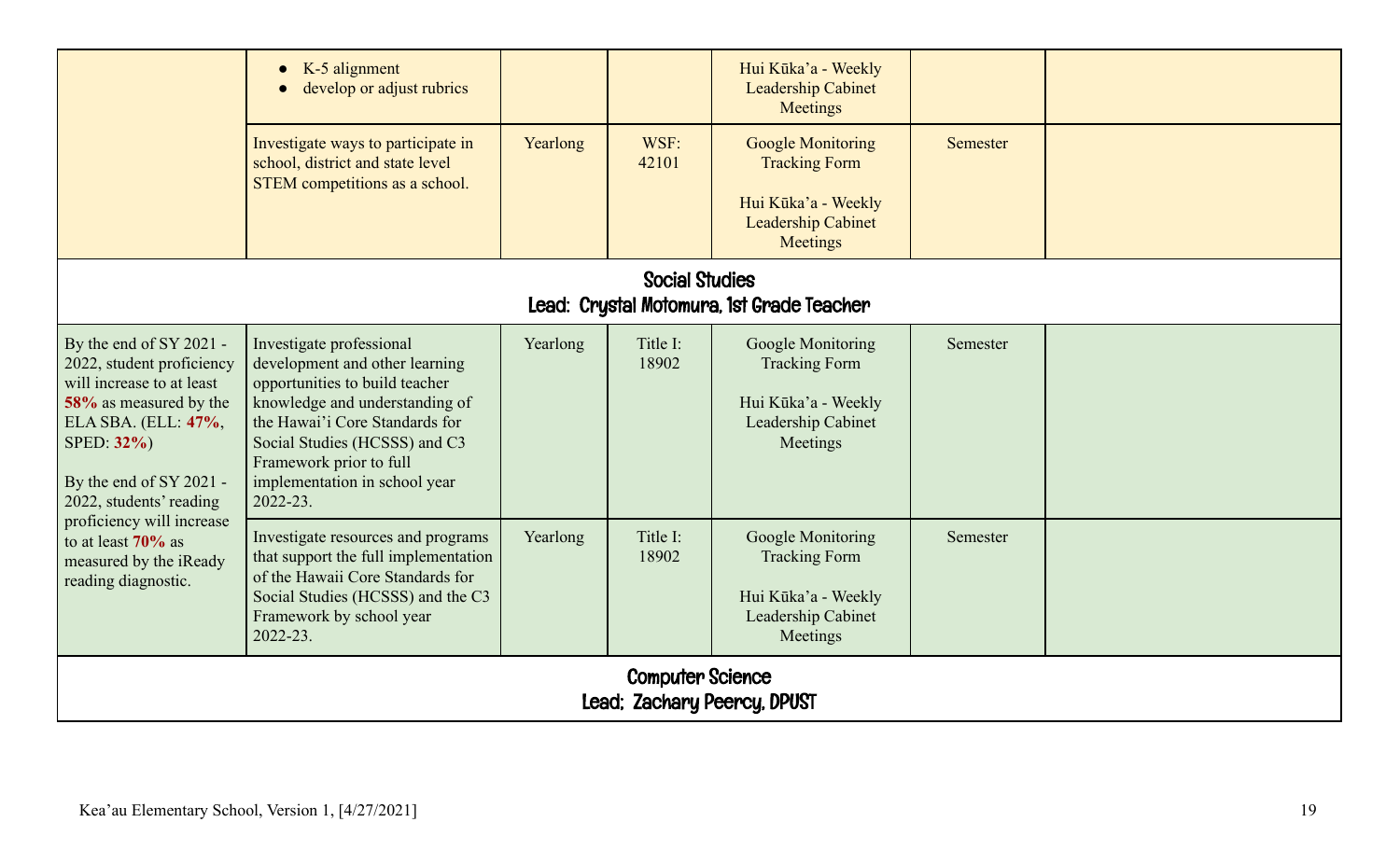|                                                                                                                                                                                                        | K-5 alignment<br>$\bullet$<br>develop or adjust rubrics<br>Investigate ways to participate in<br>school, district and state level<br>STEM competitions as a school.                                                                                                       | Yearlong | WSF:<br>42101     | Hui Kūka'a - Weekly<br><b>Leadership Cabinet</b><br>Meetings<br><b>Google Monitoring</b><br><b>Tracking Form</b><br>Hui Kūka'a - Weekly<br><b>Leadership Cabinet</b> | <b>Semester</b> |  |  |  |  |
|--------------------------------------------------------------------------------------------------------------------------------------------------------------------------------------------------------|---------------------------------------------------------------------------------------------------------------------------------------------------------------------------------------------------------------------------------------------------------------------------|----------|-------------------|----------------------------------------------------------------------------------------------------------------------------------------------------------------------|-----------------|--|--|--|--|
|                                                                                                                                                                                                        |                                                                                                                                                                                                                                                                           |          |                   | Meetings                                                                                                                                                             |                 |  |  |  |  |
| <b>Social Studies</b><br>Lead: Crystal Motomura, 1st Grade Teacher                                                                                                                                     |                                                                                                                                                                                                                                                                           |          |                   |                                                                                                                                                                      |                 |  |  |  |  |
| By the end of SY 2021 -<br>2022, student proficiency<br>will increase to at least<br>58% as measured by the<br>ELA SBA. (ELL: 47%,<br>SPED: 32%)<br>By the end of SY 2021 -<br>2022, students' reading | Investigate professional<br>development and other learning<br>opportunities to build teacher<br>knowledge and understanding of<br>the Hawai'i Core Standards for<br>Social Studies (HCSSS) and C3<br>Framework prior to full<br>implementation in school year<br>2022-23. | Yearlong | Title I:<br>18902 | Google Monitoring<br><b>Tracking Form</b><br>Hui Kūka'a - Weekly<br>Leadership Cabinet<br>Meetings                                                                   | Semester        |  |  |  |  |
| proficiency will increase<br>to at least $70\%$ as<br>measured by the iReady<br>reading diagnostic.                                                                                                    | Investigate resources and programs<br>that support the full implementation<br>of the Hawaii Core Standards for<br>Social Studies (HCSSS) and the C3<br>Framework by school year<br>2022-23.                                                                               | Yearlong | Title I:<br>18902 | Google Monitoring<br><b>Tracking Form</b><br>Hui Kūka'a - Weekly<br>Leadership Cabinet<br>Meetings                                                                   | Semester        |  |  |  |  |
|                                                                                                                                                                                                        | <b>Computer Science</b><br>Lead; Zachary Peercy, DPUST                                                                                                                                                                                                                    |          |                   |                                                                                                                                                                      |                 |  |  |  |  |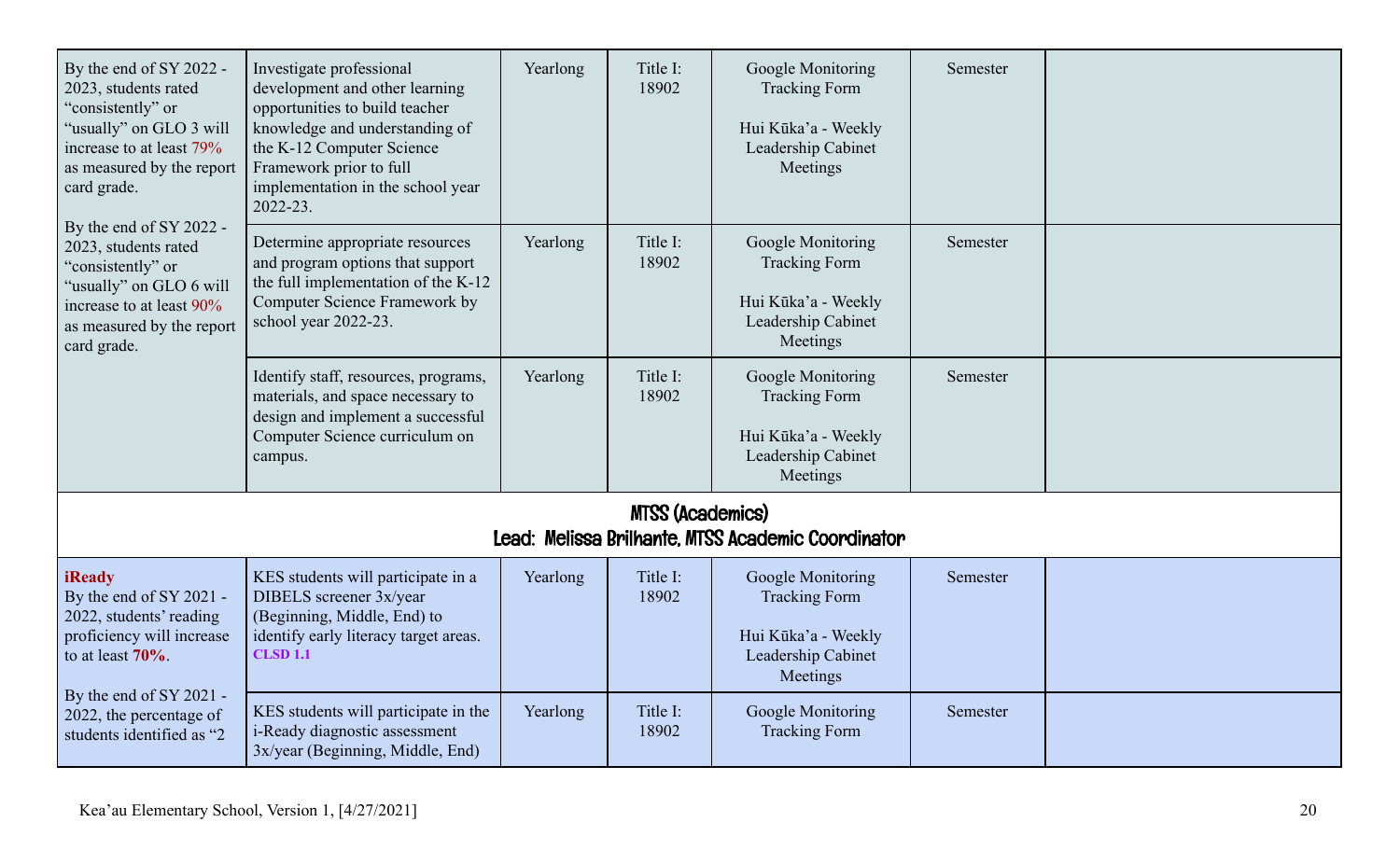| By the end of SY 2022 -<br>2023, students rated<br>"consistently" or<br>"usually" on GLO 3 will<br>increase to at least 79%<br>as measured by the report<br>card grade.<br>By the end of SY 2022 -<br>2023, students rated<br>"consistently" or<br>'usually" on GLO 6 will<br>increase to at least 90%<br>as measured by the report<br>card grade. | Investigate professional<br>development and other learning<br>opportunities to build teacher<br>knowledge and understanding of<br>the K-12 Computer Science<br>Framework prior to full<br>implementation in the school year<br>2022-23. | Yearlong | Title I:<br>18902 | Google Monitoring<br><b>Tracking Form</b><br>Hui Kūka'a - Weekly<br>Leadership Cabinet<br>Meetings | Semester |  |  |  |
|----------------------------------------------------------------------------------------------------------------------------------------------------------------------------------------------------------------------------------------------------------------------------------------------------------------------------------------------------|-----------------------------------------------------------------------------------------------------------------------------------------------------------------------------------------------------------------------------------------|----------|-------------------|----------------------------------------------------------------------------------------------------|----------|--|--|--|
|                                                                                                                                                                                                                                                                                                                                                    | Determine appropriate resources<br>and program options that support<br>the full implementation of the K-12<br>Computer Science Framework by<br>school year 2022-23.                                                                     | Yearlong | Title I:<br>18902 | Google Monitoring<br><b>Tracking Form</b><br>Hui Kūka'a - Weekly<br>Leadership Cabinet<br>Meetings | Semester |  |  |  |
|                                                                                                                                                                                                                                                                                                                                                    | Identify staff, resources, programs,<br>materials, and space necessary to<br>design and implement a successful<br>Computer Science curriculum on<br>campus.                                                                             | Yearlong | Title I:<br>18902 | Google Monitoring<br><b>Tracking Form</b><br>Hui Kūka'a - Weekly<br>Leadership Cabinet<br>Meetings | Semester |  |  |  |
| <b>MTSS (Academics)</b><br>Lead: Melissa Brilhante, MTSS Academic Coordinator                                                                                                                                                                                                                                                                      |                                                                                                                                                                                                                                         |          |                   |                                                                                                    |          |  |  |  |
| <b>iReady</b><br>By the end of SY 2021 -<br>2022, students' reading<br>proficiency will increase<br>to at least $70\%$ .                                                                                                                                                                                                                           | KES students will participate in a<br>DIBELS screener 3x/year<br>(Beginning, Middle, End) to<br>identify early literacy target areas.<br><b>CLSD 1.1</b>                                                                                | Yearlong | Title I:<br>18902 | Google Monitoring<br><b>Tracking Form</b><br>Hui Kūka'a - Weekly<br>Leadership Cabinet<br>Meetings | Semester |  |  |  |
| By the end of SY 2021 -<br>2022, the percentage of<br>students identified as "2                                                                                                                                                                                                                                                                    | KES students will participate in the<br>i-Ready diagnostic assessment<br>3x/year (Beginning, Middle, End)                                                                                                                               | Yearlong | Title I:<br>18902 | <b>Google Monitoring</b><br><b>Tracking Form</b>                                                   | Semester |  |  |  |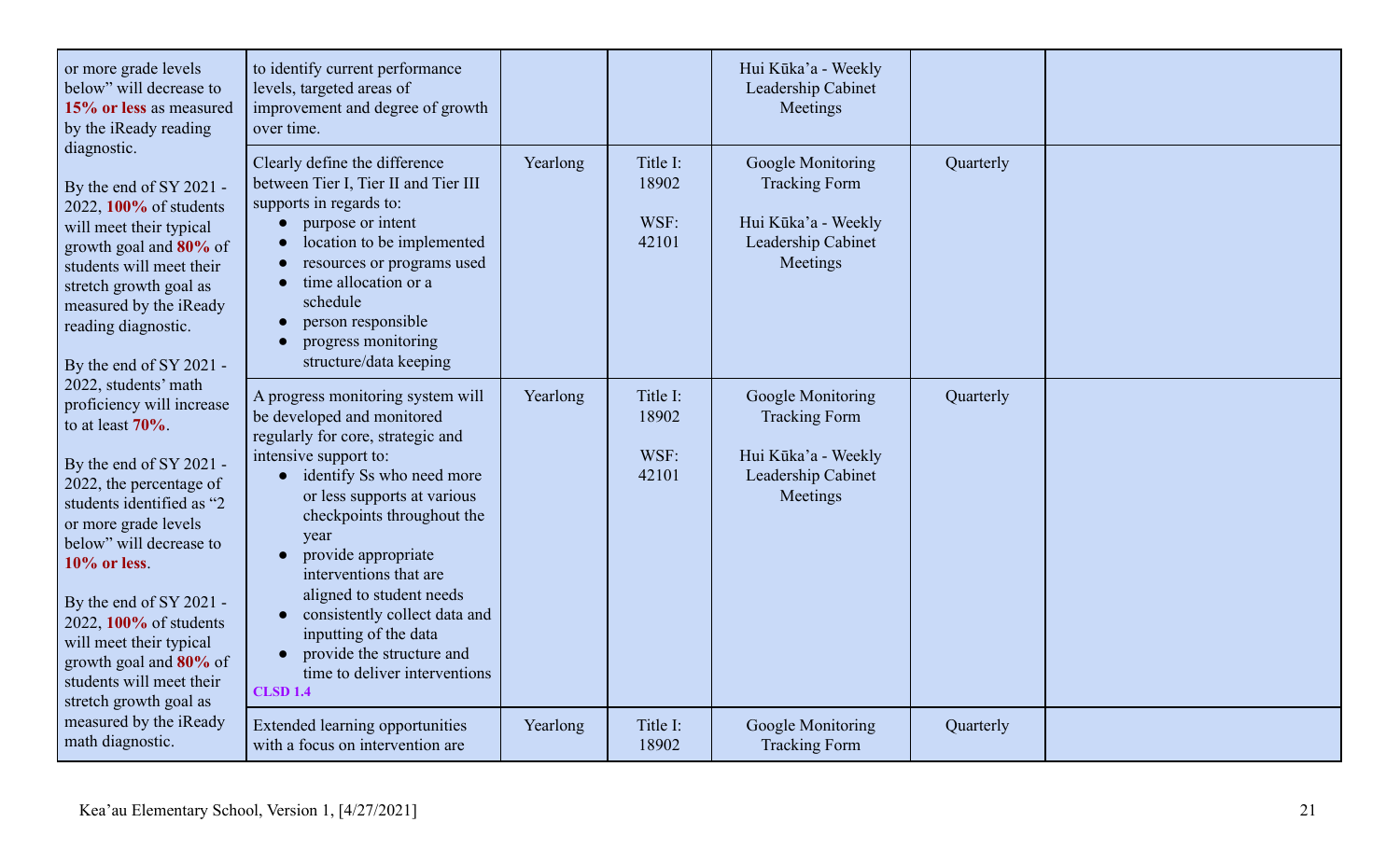| or more grade levels<br>below" will decrease to<br>15% or less as measured<br>by the iReady reading                                                                                                                                                                                                                                                                                                                                                                                                                                                                                                                                                           | to identify current performance<br>levels, targeted areas of<br>improvement and degree of growth<br>over time.                                                                                                                                                                                                                                                                                                                                                         |          |                                    | Hui Kūka'a - Weekly<br>Leadership Cabinet<br>Meetings                                                     |           |  |
|---------------------------------------------------------------------------------------------------------------------------------------------------------------------------------------------------------------------------------------------------------------------------------------------------------------------------------------------------------------------------------------------------------------------------------------------------------------------------------------------------------------------------------------------------------------------------------------------------------------------------------------------------------------|------------------------------------------------------------------------------------------------------------------------------------------------------------------------------------------------------------------------------------------------------------------------------------------------------------------------------------------------------------------------------------------------------------------------------------------------------------------------|----------|------------------------------------|-----------------------------------------------------------------------------------------------------------|-----------|--|
| diagnostic.<br>By the end of SY 2021 -<br>2022, 100% of students<br>will meet their typical<br>growth goal and 80% of<br>students will meet their<br>stretch growth goal as<br>measured by the iReady<br>reading diagnostic.<br>By the end of SY 2021 -<br>2022, students' math<br>proficiency will increase<br>to at least $70\%$ .<br>By the end of SY 2021 -<br>2022, the percentage of<br>students identified as "2<br>or more grade levels<br>below" will decrease to<br>$10\%$ or less.<br>By the end of SY 2021 -<br>2022, 100% of students<br>will meet their typical<br>growth goal and 80% of<br>students will meet their<br>stretch growth goal as | Clearly define the difference<br>between Tier I, Tier II and Tier III<br>supports in regards to:<br>purpose or intent<br>location to be implemented<br>resources or programs used<br>time allocation or a<br>schedule<br>person responsible<br>progress monitoring<br>structure/data keeping                                                                                                                                                                           | Yearlong | Title I:<br>18902<br>WSF:<br>42101 | Google Monitoring<br><b>Tracking Form</b><br>Hui Kūka'a - Weekly<br>Leadership Cabinet<br>Meetings        | Quarterly |  |
|                                                                                                                                                                                                                                                                                                                                                                                                                                                                                                                                                                                                                                                               | A progress monitoring system will<br>be developed and monitored<br>regularly for core, strategic and<br>intensive support to:<br>• identify Ss who need more<br>or less supports at various<br>checkpoints throughout the<br>year<br>provide appropriate<br>interventions that are<br>aligned to student needs<br>consistently collect data and<br>inputting of the data<br>provide the structure and<br>$\bullet$<br>time to deliver interventions<br><b>CLSD 1.4</b> | Yearlong | Title I:<br>18902<br>WSF:<br>42101 | <b>Google Monitoring</b><br><b>Tracking Form</b><br>Hui Kūka'a - Weekly<br>Leadership Cabinet<br>Meetings | Quarterly |  |
| measured by the iReady<br>math diagnostic.                                                                                                                                                                                                                                                                                                                                                                                                                                                                                                                                                                                                                    | <b>Extended learning opportunities</b><br>with a focus on intervention are                                                                                                                                                                                                                                                                                                                                                                                             | Yearlong | Title I:<br>18902                  | <b>Google Monitoring</b><br><b>Tracking Form</b>                                                          | Quarterly |  |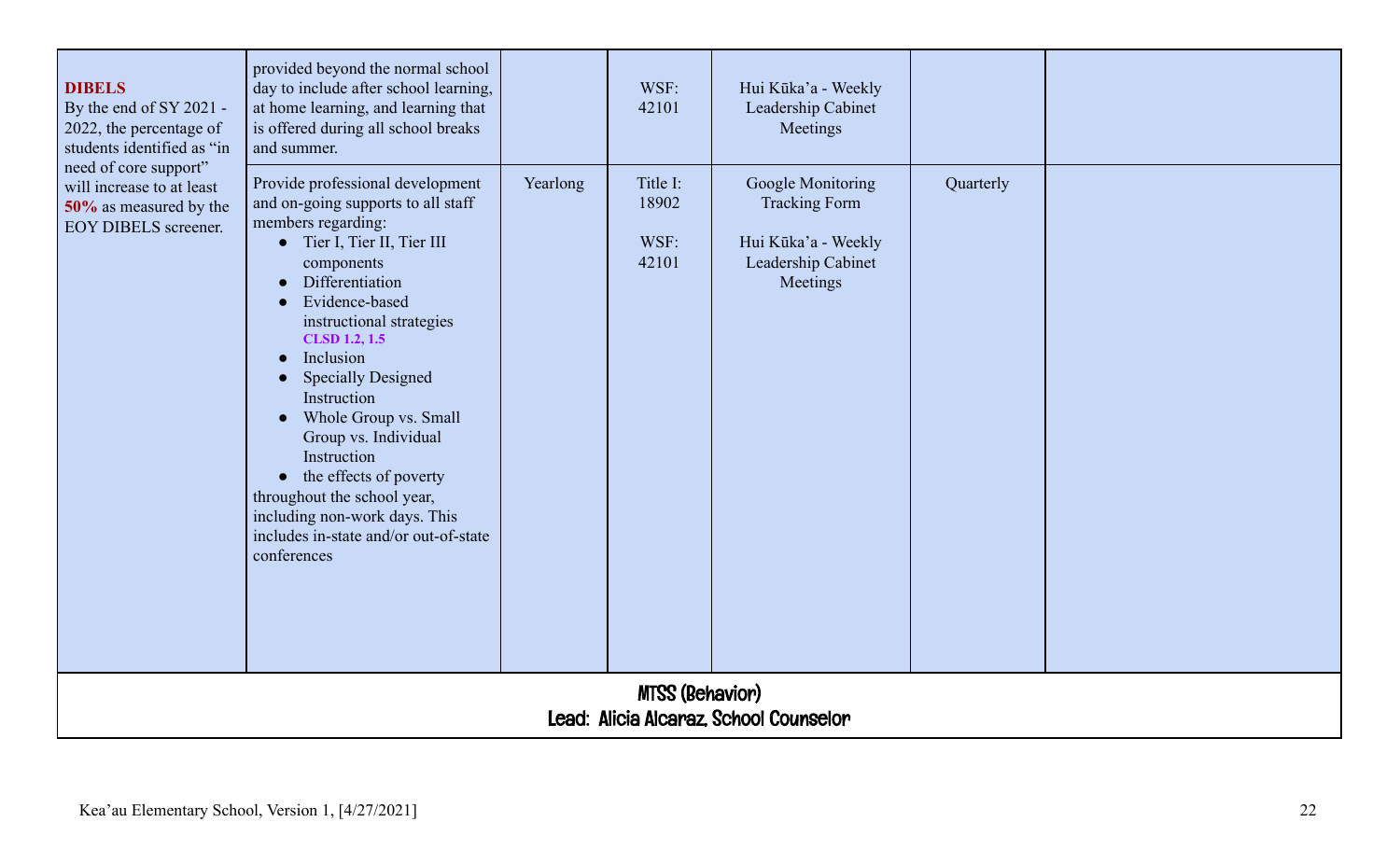| <b>DIBELS</b><br>By the end of SY 2021 -<br>2022, the percentage of<br>students identified as "in           | provided beyond the normal school<br>day to include after school learning,<br>at home learning, and learning that<br>is offered during all school breaks<br>and summer.                                                                                                                                                                                                                                                                                                                                                                                                     |          | WSF:<br>42101                      | Hui Kūka'a - Weekly<br>Leadership Cabinet<br>Meetings                                              |           |  |
|-------------------------------------------------------------------------------------------------------------|-----------------------------------------------------------------------------------------------------------------------------------------------------------------------------------------------------------------------------------------------------------------------------------------------------------------------------------------------------------------------------------------------------------------------------------------------------------------------------------------------------------------------------------------------------------------------------|----------|------------------------------------|----------------------------------------------------------------------------------------------------|-----------|--|
| need of core support"<br>will increase to at least<br>50% as measured by the<br><b>EOY DIBELS screener.</b> | Provide professional development<br>and on-going supports to all staff<br>members regarding:<br>• Tier I, Tier II, Tier III<br>components<br>Differentiation<br>$\bullet$<br>Evidence-based<br>instructional strategies<br><b>CLSD 1.2, 1.5</b><br>Inclusion<br>$\bullet$<br><b>Specially Designed</b><br>$\bullet$<br>Instruction<br>Whole Group vs. Small<br>$\bullet$<br>Group vs. Individual<br>Instruction<br>$\bullet$ the effects of poverty<br>throughout the school year,<br>including non-work days. This<br>includes in-state and/or out-of-state<br>conferences | Yearlong | Title I:<br>18902<br>WSF:<br>42101 | Google Monitoring<br><b>Tracking Form</b><br>Hui Kūka'a - Weekly<br>Leadership Cabinet<br>Meetings | Quarterly |  |
|                                                                                                             |                                                                                                                                                                                                                                                                                                                                                                                                                                                                                                                                                                             |          | <b>MTSS (Behavior)</b>             | Lead: Alicia Alcaraz, School Counselor                                                             |           |  |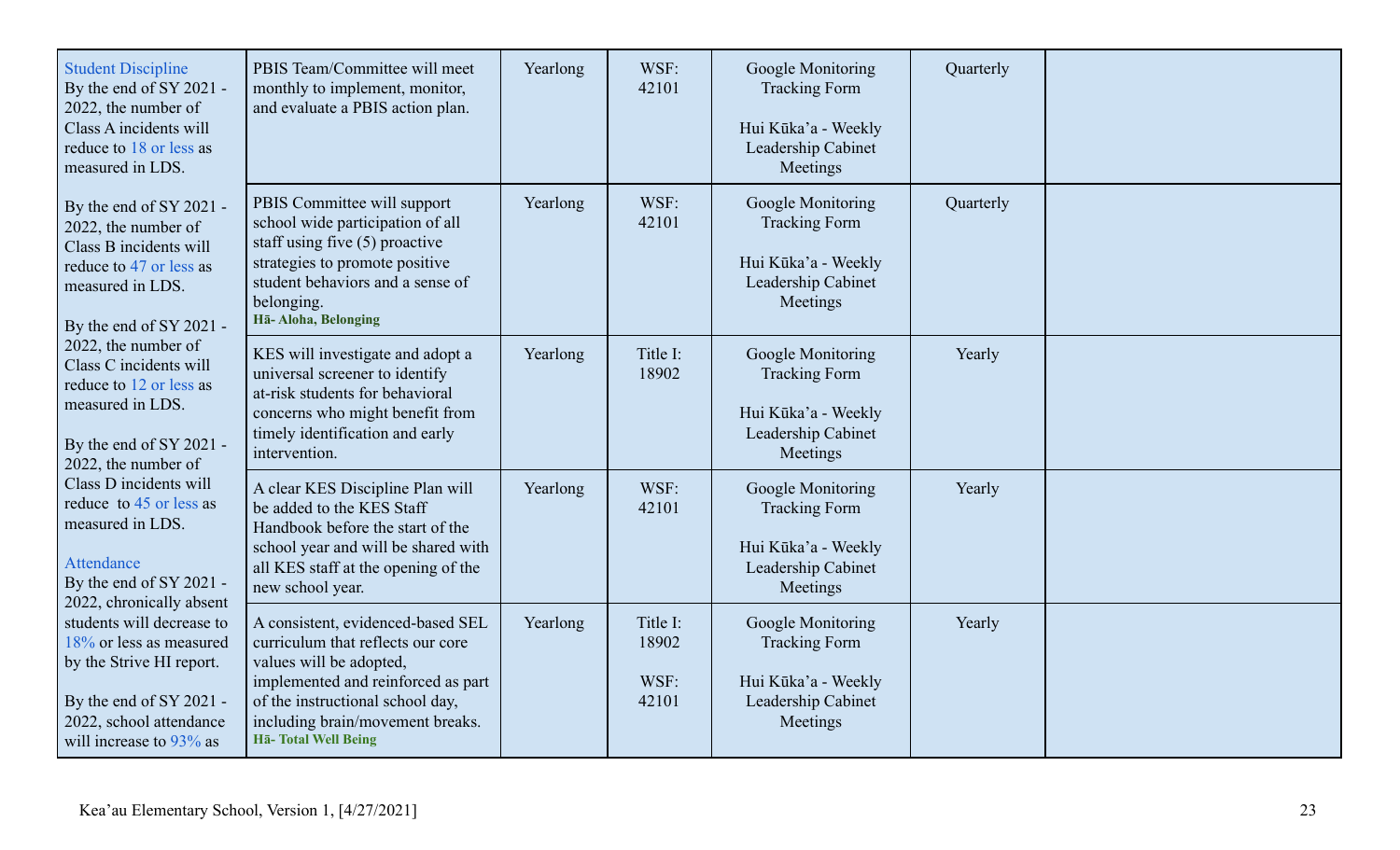| <b>Student Discipline</b><br>By the end of SY 2021 -<br>2022, the number of<br>Class A incidents will<br>reduce to 18 or less as<br>measured in LDS.                                                                                                                                                                                                                                                                                                                 | PBIS Team/Committee will meet<br>monthly to implement, monitor,<br>and evaluate a PBIS action plan.                                                                                                                                    | Yearlong | WSF:<br>42101                      | Google Monitoring<br><b>Tracking Form</b><br>Hui Kūka'a - Weekly<br>Leadership Cabinet<br>Meetings | Quarterly |  |
|----------------------------------------------------------------------------------------------------------------------------------------------------------------------------------------------------------------------------------------------------------------------------------------------------------------------------------------------------------------------------------------------------------------------------------------------------------------------|----------------------------------------------------------------------------------------------------------------------------------------------------------------------------------------------------------------------------------------|----------|------------------------------------|----------------------------------------------------------------------------------------------------|-----------|--|
| By the end of SY 2021 -<br>2022, the number of<br>Class B incidents will<br>reduce to 47 or less as<br>measured in LDS.<br>By the end of SY 2021 -                                                                                                                                                                                                                                                                                                                   | PBIS Committee will support<br>school wide participation of all<br>staff using five $(5)$ proactive<br>strategies to promote positive<br>student behaviors and a sense of<br>belonging.<br>Hā-Aloha, Belonging                         | Yearlong | WSF:<br>42101                      | Google Monitoring<br><b>Tracking Form</b><br>Hui Kūka'a - Weekly<br>Leadership Cabinet<br>Meetings | Quarterly |  |
| 2022, the number of<br>Class C incidents will<br>reduce to 12 or less as<br>measured in LDS.<br>By the end of SY 2021 -<br>2022, the number of<br>Class D incidents will<br>reduce to 45 or less as<br>measured in LDS.<br>Attendance<br>By the end of SY 2021 -<br>2022, chronically absent<br>students will decrease to<br>18% or less as measured<br>by the Strive HI report.<br>By the end of SY 2021 -<br>2022, school attendance<br>will increase to $93\%$ as | KES will investigate and adopt a<br>universal screener to identify<br>at-risk students for behavioral<br>concerns who might benefit from<br>timely identification and early<br>intervention.                                           | Yearlong | Title I:<br>18902                  | Google Monitoring<br><b>Tracking Form</b><br>Hui Kūka'a - Weekly<br>Leadership Cabinet<br>Meetings | Yearly    |  |
|                                                                                                                                                                                                                                                                                                                                                                                                                                                                      | A clear KES Discipline Plan will<br>be added to the KES Staff<br>Handbook before the start of the<br>school year and will be shared with<br>all KES staff at the opening of the<br>new school year.                                    | Yearlong | WSF:<br>42101                      | Google Monitoring<br><b>Tracking Form</b><br>Hui Kūka'a - Weekly<br>Leadership Cabinet<br>Meetings | Yearly    |  |
|                                                                                                                                                                                                                                                                                                                                                                                                                                                                      | A consistent, evidenced-based SEL<br>curriculum that reflects our core<br>values will be adopted,<br>implemented and reinforced as part<br>of the instructional school day,<br>including brain/movement breaks.<br>Hā-Total Well Being | Yearlong | Title I:<br>18902<br>WSF:<br>42101 | Google Monitoring<br><b>Tracking Form</b><br>Hui Kūka'a - Weekly<br>Leadership Cabinet<br>Meetings | Yearly    |  |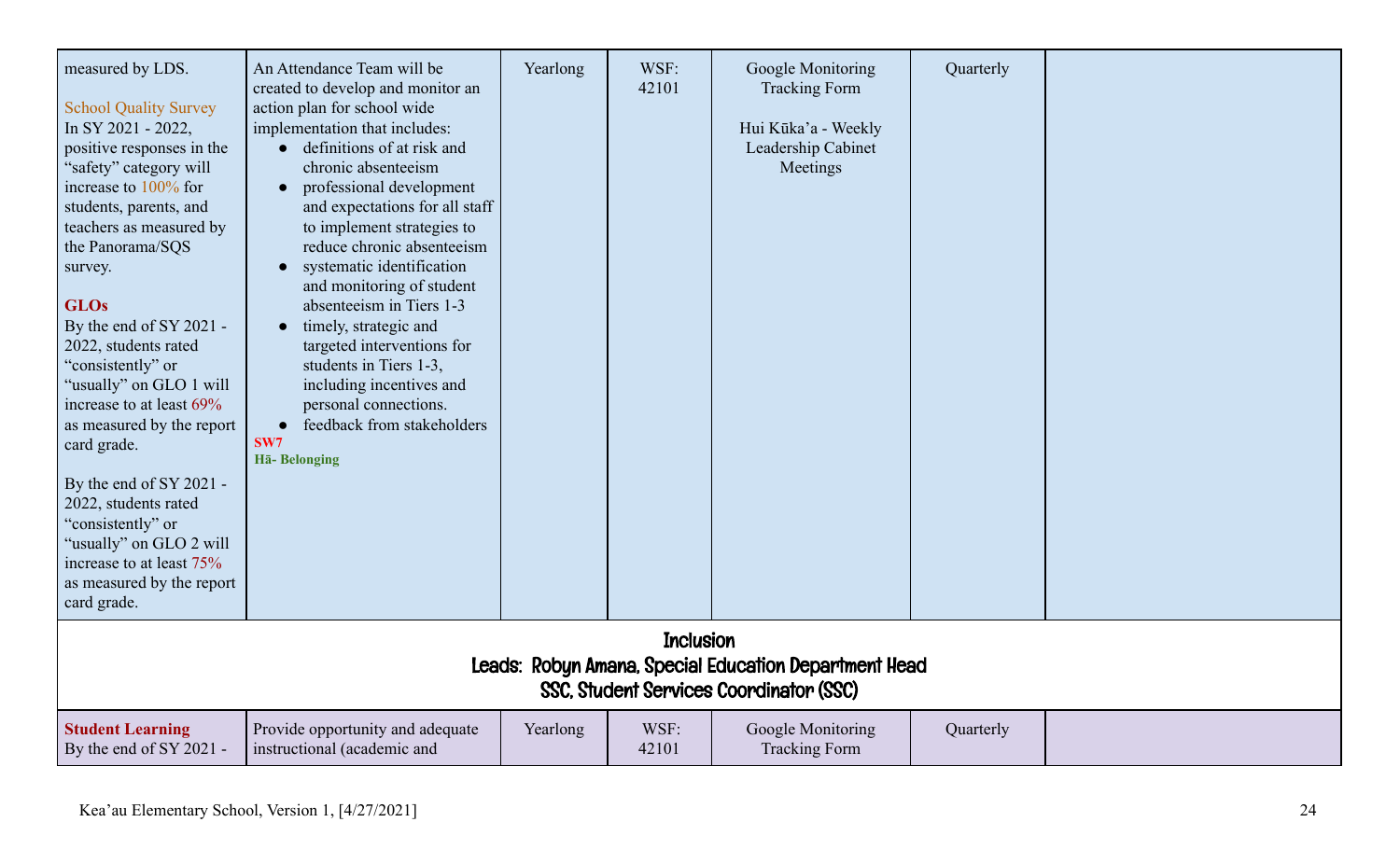| measured by LDS.<br><b>School Quality Survey</b><br>In SY 2021 - 2022,<br>positive responses in the<br>"safety" category will<br>increase to 100% for<br>students, parents, and<br>teachers as measured by<br>the Panorama/SQS<br>survey.<br><b>GLOs</b><br>By the end of SY 2021 -<br>2022, students rated<br>"consistently" or<br>"usually" on GLO 1 will<br>increase to at least 69%<br>as measured by the report<br>card grade.<br>By the end of SY 2021 -<br>2022, students rated<br>"consistently" or<br>"usually" on GLO 2 will<br>increase to at least 75%<br>as measured by the report<br>card grade. | An Attendance Team will be<br>created to develop and monitor an<br>action plan for school wide<br>implementation that includes:<br>definitions of at risk and<br>chronic absenteeism<br>professional development<br>and expectations for all staff<br>to implement strategies to<br>reduce chronic absenteeism<br>systematic identification<br>and monitoring of student<br>absenteeism in Tiers 1-3<br>timely, strategic and<br>targeted interventions for<br>students in Tiers 1-3,<br>including incentives and<br>personal connections.<br>feedback from stakeholders<br>$\bullet$<br>SW7<br>Hā-Belonging | Yearlong | WSF:<br>42101 | Google Monitoring<br><b>Tracking Form</b><br>Hui Kūka'a - Weekly<br>Leadership Cabinet<br>Meetings | Quarterly |  |  |  |
|----------------------------------------------------------------------------------------------------------------------------------------------------------------------------------------------------------------------------------------------------------------------------------------------------------------------------------------------------------------------------------------------------------------------------------------------------------------------------------------------------------------------------------------------------------------------------------------------------------------|--------------------------------------------------------------------------------------------------------------------------------------------------------------------------------------------------------------------------------------------------------------------------------------------------------------------------------------------------------------------------------------------------------------------------------------------------------------------------------------------------------------------------------------------------------------------------------------------------------------|----------|---------------|----------------------------------------------------------------------------------------------------|-----------|--|--|--|
| <b>Inclusion</b><br>Leads: Robyn Amana, Special Education Department Head<br>SSC, Student Services Coordinator (SSC)                                                                                                                                                                                                                                                                                                                                                                                                                                                                                           |                                                                                                                                                                                                                                                                                                                                                                                                                                                                                                                                                                                                              |          |               |                                                                                                    |           |  |  |  |
| <b>Student Learning</b><br>By the end of SY 2021 -                                                                                                                                                                                                                                                                                                                                                                                                                                                                                                                                                             | Provide opportunity and adequate<br>instructional (academic and                                                                                                                                                                                                                                                                                                                                                                                                                                                                                                                                              | Yearlong | WSF:<br>42101 | Google Monitoring<br><b>Tracking Form</b>                                                          | Quarterly |  |  |  |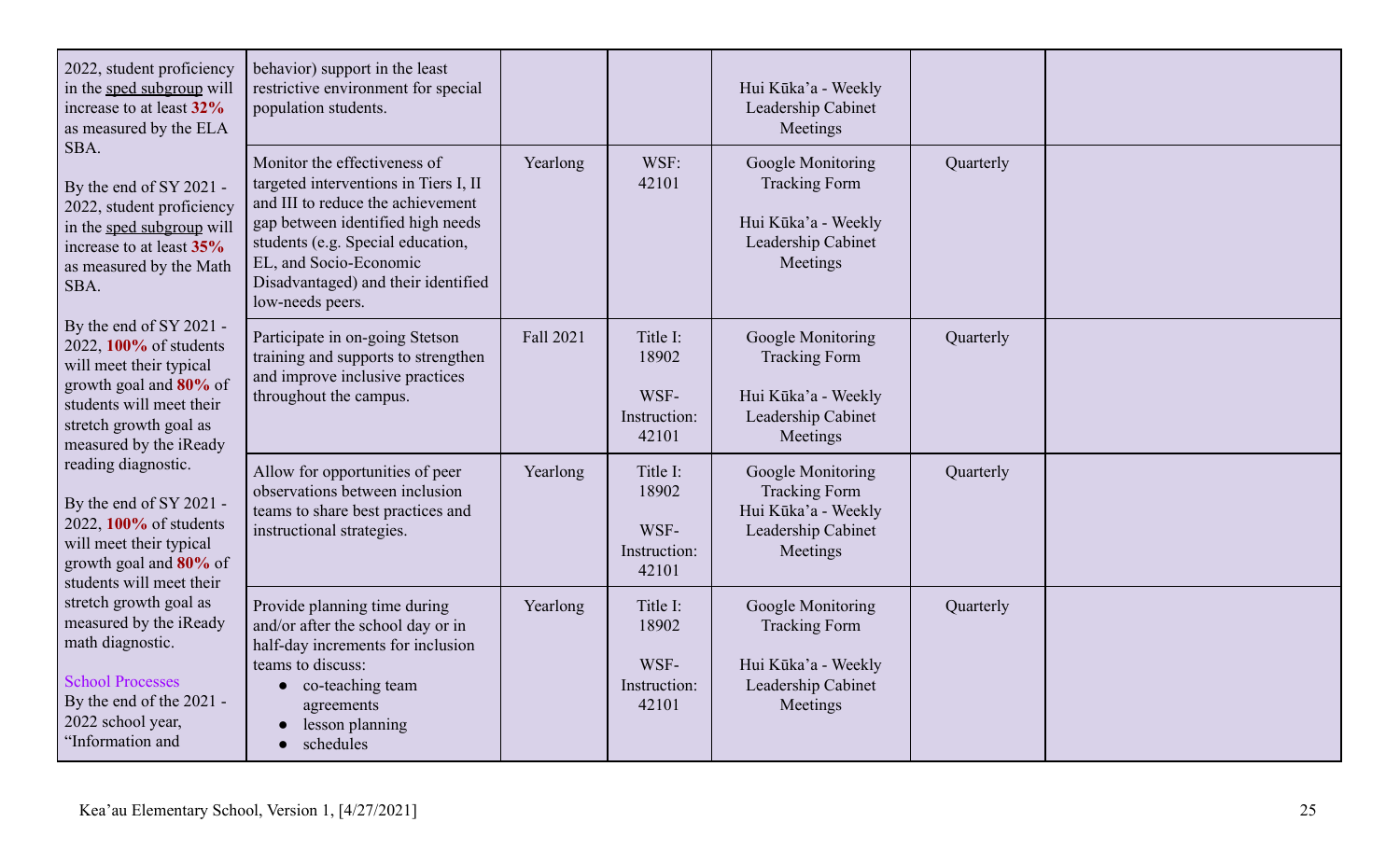| 2022, student proficiency<br>in the sped subgroup will<br>increase to at least 32%<br>as measured by the ELA<br>SBA.<br>By the end of SY 2021 -<br>2022, student proficiency<br>in the sped subgroup will<br>increase to at least 35%<br>as measured by the Math<br>SBA.                                                                                                                                                                                                                                                    | behavior) support in the least<br>restrictive environment for special<br>population students.                                                                                                                                                                             |                  |                                                    | Hui Kūka'a - Weekly<br>Leadership Cabinet<br>Meetings                                              |           |  |
|-----------------------------------------------------------------------------------------------------------------------------------------------------------------------------------------------------------------------------------------------------------------------------------------------------------------------------------------------------------------------------------------------------------------------------------------------------------------------------------------------------------------------------|---------------------------------------------------------------------------------------------------------------------------------------------------------------------------------------------------------------------------------------------------------------------------|------------------|----------------------------------------------------|----------------------------------------------------------------------------------------------------|-----------|--|
|                                                                                                                                                                                                                                                                                                                                                                                                                                                                                                                             | Monitor the effectiveness of<br>targeted interventions in Tiers I, II<br>and III to reduce the achievement<br>gap between identified high needs<br>students (e.g. Special education,<br>EL, and Socio-Economic<br>Disadvantaged) and their identified<br>low-needs peers. | Yearlong         | WSF:<br>42101                                      | Google Monitoring<br><b>Tracking Form</b><br>Hui Kūka'a - Weekly<br>Leadership Cabinet<br>Meetings | Quarterly |  |
| By the end of SY 2021 -<br>2022, 100% of students<br>will meet their typical<br>growth goal and 80% of<br>students will meet their<br>stretch growth goal as<br>measured by the iReady<br>reading diagnostic.<br>By the end of SY 2021 -<br>2022, 100% of students<br>will meet their typical<br>growth goal and 80% of<br>students will meet their<br>stretch growth goal as<br>measured by the iReady<br>math diagnostic.<br><b>School Processes</b><br>By the end of the 2021 -<br>2022 school year,<br>'Information and | Participate in on-going Stetson<br>training and supports to strengthen<br>and improve inclusive practices<br>throughout the campus.                                                                                                                                       | <b>Fall 2021</b> | Title I:<br>18902<br>WSF-<br>Instruction:<br>42101 | Google Monitoring<br><b>Tracking Form</b><br>Hui Kūka'a - Weekly<br>Leadership Cabinet<br>Meetings | Quarterly |  |
|                                                                                                                                                                                                                                                                                                                                                                                                                                                                                                                             | Allow for opportunities of peer<br>observations between inclusion<br>teams to share best practices and<br>instructional strategies.                                                                                                                                       | Yearlong         | Title I:<br>18902<br>WSF-<br>Instruction:<br>42101 | Google Monitoring<br><b>Tracking Form</b><br>Hui Kūka'a - Weekly<br>Leadership Cabinet<br>Meetings | Quarterly |  |
|                                                                                                                                                                                                                                                                                                                                                                                                                                                                                                                             | Provide planning time during<br>and/or after the school day or in<br>half-day increments for inclusion<br>teams to discuss:<br>$\bullet$ co-teaching team<br>agreements<br>lesson planning<br>• schedules                                                                 | Yearlong         | Title I:<br>18902<br>WSF-<br>Instruction:<br>42101 | Google Monitoring<br><b>Tracking Form</b><br>Hui Kūka'a - Weekly<br>Leadership Cabinet<br>Meetings | Quarterly |  |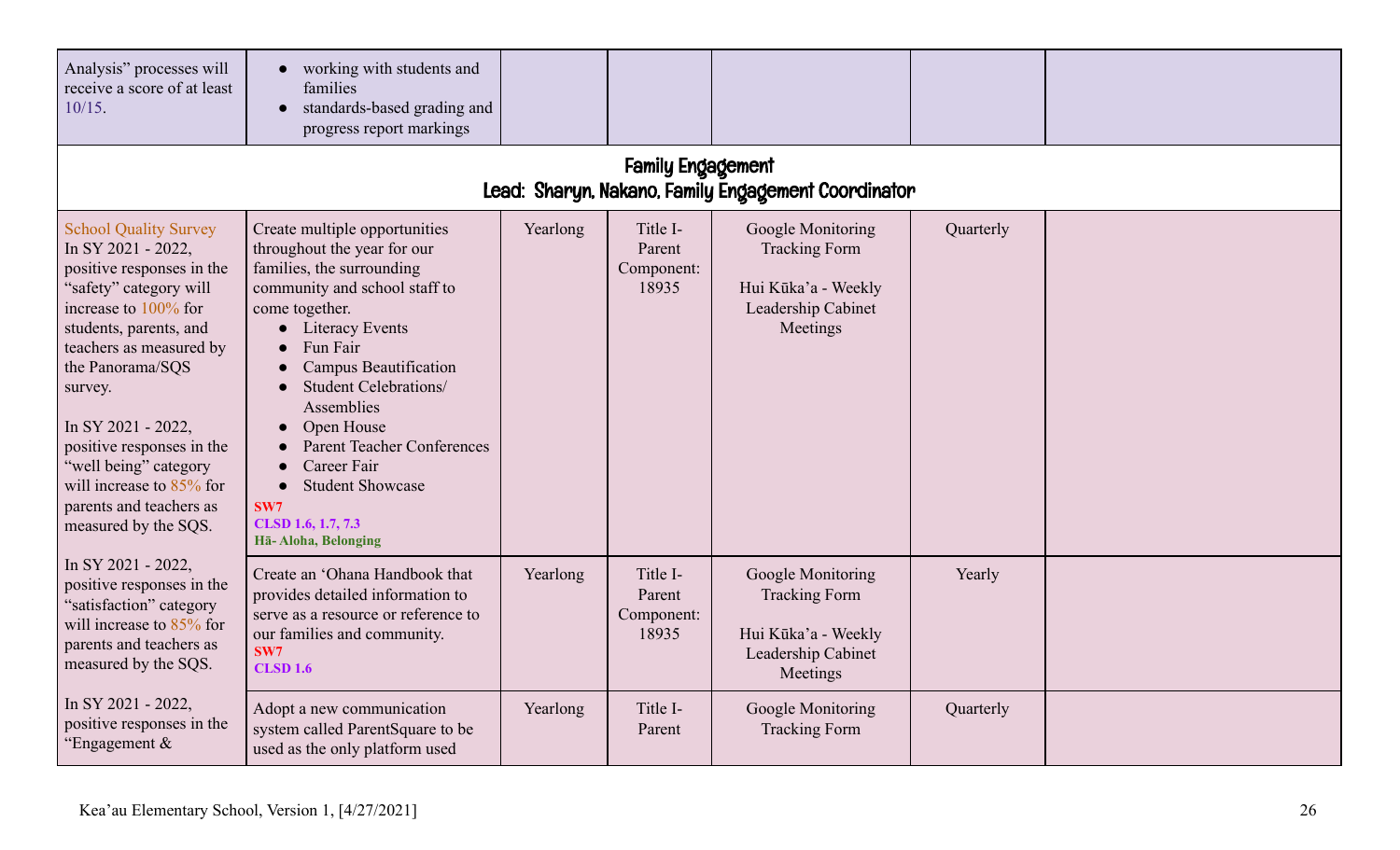| Analysis" processes will<br>receive a score of at least<br>$10/15$ .                                                                                                                                                                                                                                                                                                                   | • working with students and<br>families<br>standards-based grading and<br>progress report markings                                                                                                                                                                                                                                                                                                                  |          |                                           |                                                                                                           |           |  |
|----------------------------------------------------------------------------------------------------------------------------------------------------------------------------------------------------------------------------------------------------------------------------------------------------------------------------------------------------------------------------------------|---------------------------------------------------------------------------------------------------------------------------------------------------------------------------------------------------------------------------------------------------------------------------------------------------------------------------------------------------------------------------------------------------------------------|----------|-------------------------------------------|-----------------------------------------------------------------------------------------------------------|-----------|--|
| <b>Family Engagement</b><br>Lead: Sharyn, Nakano, Family Engagement Coordinator                                                                                                                                                                                                                                                                                                        |                                                                                                                                                                                                                                                                                                                                                                                                                     |          |                                           |                                                                                                           |           |  |
| <b>School Quality Survey</b><br>In SY 2021 - 2022,<br>positive responses in the<br>"safety" category will<br>increase to $100\%$ for<br>students, parents, and<br>teachers as measured by<br>the Panorama/SQS<br>survey.<br>In SY 2021 - 2022,<br>positive responses in the<br>"well being" category<br>will increase to $85\%$ for<br>parents and teachers as<br>measured by the SQS. | Create multiple opportunities<br>throughout the year for our<br>families, the surrounding<br>community and school staff to<br>come together.<br>• Literacy Events<br>Fun Fair<br><b>Campus Beautification</b><br>Student Celebrations/<br>Assemblies<br>Open House<br><b>Parent Teacher Conferences</b><br>Career Fair<br><b>Student Showcase</b><br>$\bullet$<br>SW7<br>CLSD 1.6, 1.7, 7.3<br>Hā- Aloha, Belonging | Yearlong | Title I-<br>Parent<br>Component:<br>18935 | Google Monitoring<br><b>Tracking Form</b><br>Hui Kūka'a - Weekly<br>Leadership Cabinet<br>Meetings        | Quarterly |  |
| In SY 2021 - 2022,<br>positive responses in the<br>"satisfaction" category<br>will increase to $85\%$ for<br>parents and teachers as<br>measured by the SQS.                                                                                                                                                                                                                           | Create an 'Ohana Handbook that<br>provides detailed information to<br>serve as a resource or reference to<br>our families and community.<br>SW7<br><b>CLSD 1.6</b>                                                                                                                                                                                                                                                  | Yearlong | Title I-<br>Parent<br>Component:<br>18935 | <b>Google Monitoring</b><br><b>Tracking Form</b><br>Hui Kūka'a - Weekly<br>Leadership Cabinet<br>Meetings | Yearly    |  |
| In SY 2021 - 2022,<br>positive responses in the<br>"Engagement $\&$                                                                                                                                                                                                                                                                                                                    | Adopt a new communication<br>system called ParentSquare to be<br>used as the only platform used                                                                                                                                                                                                                                                                                                                     | Yearlong | Title I-<br>Parent                        | Google Monitoring<br><b>Tracking Form</b>                                                                 | Quarterly |  |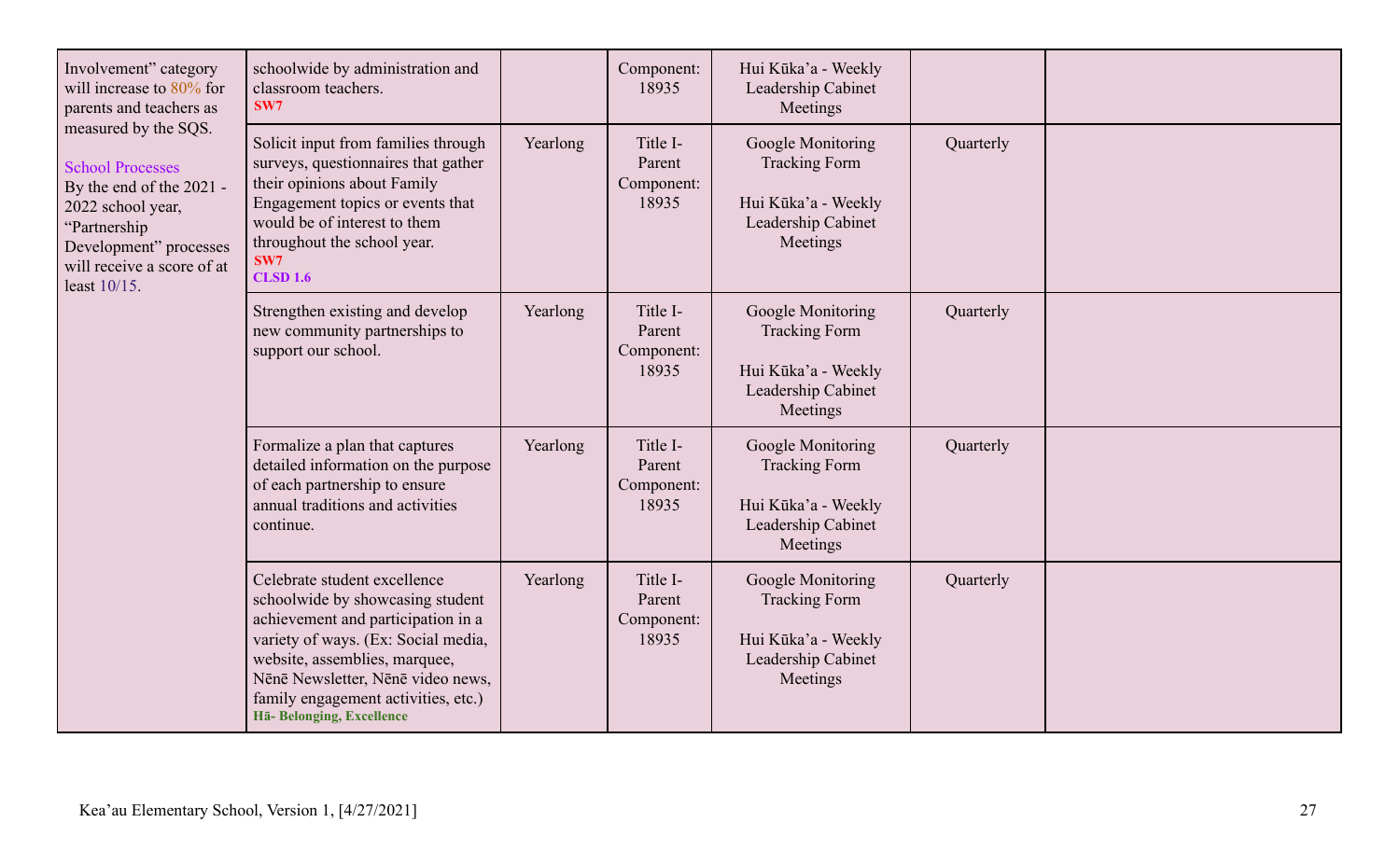| Involvement" category<br>will increase to $80\%$ for<br>parents and teachers as<br>measured by the SQS.<br><b>School Processes</b><br>By the end of the 2021 -<br>2022 school year,<br>"Partnership<br>Development" processes<br>will receive a score of at<br>least 10/15. | schoolwide by administration and<br>classroom teachers.<br>SW7                                                                                                                                                                                                                          |          | Component:<br>18935                       | Hui Kūka'a - Weekly<br>Leadership Cabinet<br>Meetings                                              |           |  |
|-----------------------------------------------------------------------------------------------------------------------------------------------------------------------------------------------------------------------------------------------------------------------------|-----------------------------------------------------------------------------------------------------------------------------------------------------------------------------------------------------------------------------------------------------------------------------------------|----------|-------------------------------------------|----------------------------------------------------------------------------------------------------|-----------|--|
|                                                                                                                                                                                                                                                                             | Solicit input from families through<br>surveys, questionnaires that gather<br>their opinions about Family<br>Engagement topics or events that<br>would be of interest to them<br>throughout the school year.<br>SW7<br><b>CLSD 1.6</b>                                                  | Yearlong | Title I-<br>Parent<br>Component:<br>18935 | Google Monitoring<br><b>Tracking Form</b><br>Hui Kūka'a - Weekly<br>Leadership Cabinet<br>Meetings | Quarterly |  |
|                                                                                                                                                                                                                                                                             | Strengthen existing and develop<br>new community partnerships to<br>support our school.                                                                                                                                                                                                 | Yearlong | Title I-<br>Parent<br>Component:<br>18935 | Google Monitoring<br><b>Tracking Form</b><br>Hui Kūka'a - Weekly<br>Leadership Cabinet<br>Meetings | Quarterly |  |
|                                                                                                                                                                                                                                                                             | Formalize a plan that captures<br>detailed information on the purpose<br>of each partnership to ensure<br>annual traditions and activities<br>continue.                                                                                                                                 | Yearlong | Title I-<br>Parent<br>Component:<br>18935 | Google Monitoring<br><b>Tracking Form</b><br>Hui Kūka'a - Weekly<br>Leadership Cabinet<br>Meetings | Quarterly |  |
|                                                                                                                                                                                                                                                                             | Celebrate student excellence<br>schoolwide by showcasing student<br>achievement and participation in a<br>variety of ways. (Ex: Social media,<br>website, assemblies, marquee,<br>Nēnē Newsletter, Nēnē video news,<br>family engagement activities, etc.)<br>Hā- Belonging, Excellence | Yearlong | Title I-<br>Parent<br>Component:<br>18935 | Google Monitoring<br><b>Tracking Form</b><br>Hui Kūka'a - Weekly<br>Leadership Cabinet<br>Meetings | Quarterly |  |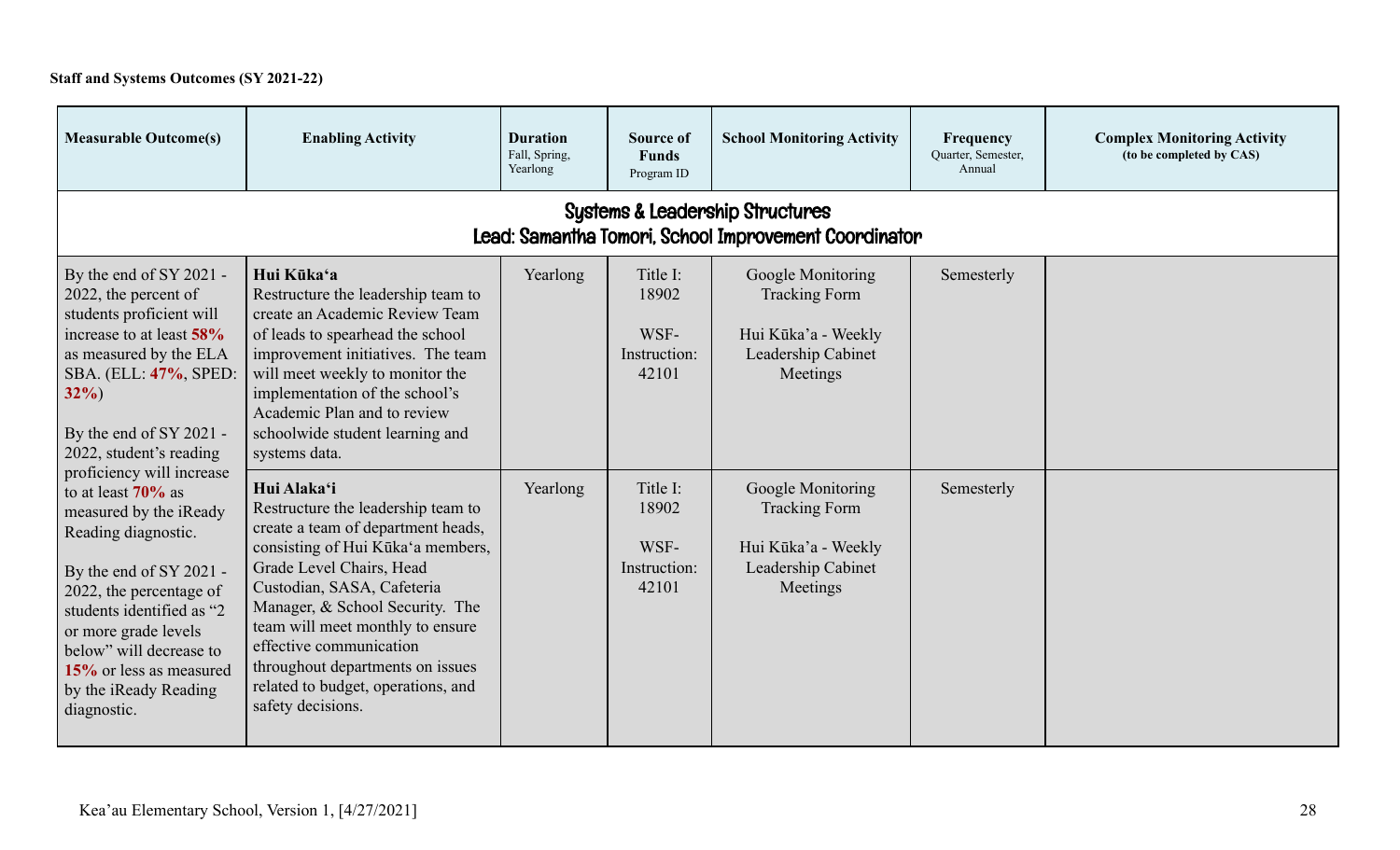# **Staff and Systems Outcomes (SY 2021-22)**

| <b>Measurable Outcome(s)</b>                                                                                                                                                                                                                                                                                                                                                                                                                                                                                                               | <b>Enabling Activity</b>                                                                                                                                                                                                                                                                                                                                                                | <b>Duration</b><br>Fall, Spring,<br>Yearlong | <b>Source of</b><br><b>Funds</b><br>Program ID     | <b>School Monitoring Activity</b>                                                                  | Frequency<br>Quarter, Semester,<br>Annual | <b>Complex Monitoring Activity</b><br>(to be completed by CAS) |
|--------------------------------------------------------------------------------------------------------------------------------------------------------------------------------------------------------------------------------------------------------------------------------------------------------------------------------------------------------------------------------------------------------------------------------------------------------------------------------------------------------------------------------------------|-----------------------------------------------------------------------------------------------------------------------------------------------------------------------------------------------------------------------------------------------------------------------------------------------------------------------------------------------------------------------------------------|----------------------------------------------|----------------------------------------------------|----------------------------------------------------------------------------------------------------|-------------------------------------------|----------------------------------------------------------------|
| <b>Systems &amp; Leadership Structures</b><br>Lead: Samantha Tomori, School Improvement Coordinator                                                                                                                                                                                                                                                                                                                                                                                                                                        |                                                                                                                                                                                                                                                                                                                                                                                         |                                              |                                                    |                                                                                                    |                                           |                                                                |
| By the end of SY 2021 -<br>2022, the percent of<br>students proficient will<br>increase to at least 58%<br>as measured by the ELA<br>SBA. (ELL: 47%, SPED:<br>$32\%$<br>By the end of SY 2021 -<br>2022, student's reading<br>proficiency will increase<br>to at least $70\%$ as<br>measured by the iReady<br>Reading diagnostic.<br>By the end of SY 2021 -<br>2022, the percentage of<br>students identified as "2<br>or more grade levels<br>below" will decrease to<br>15% or less as measured<br>by the iReady Reading<br>diagnostic. | Hui Kūka'a<br>Restructure the leadership team to<br>create an Academic Review Team<br>of leads to spearhead the school<br>improvement initiatives. The team<br>will meet weekly to monitor the<br>implementation of the school's<br>Academic Plan and to review<br>schoolwide student learning and<br>systems data.                                                                     | Yearlong                                     | Title I:<br>18902<br>WSF-<br>Instruction:<br>42101 | Google Monitoring<br><b>Tracking Form</b><br>Hui Kūka'a - Weekly<br>Leadership Cabinet<br>Meetings | Semesterly                                |                                                                |
|                                                                                                                                                                                                                                                                                                                                                                                                                                                                                                                                            | Hui Alaka'i<br>Restructure the leadership team to<br>create a team of department heads,<br>consisting of Hui Kūka'a members,<br>Grade Level Chairs, Head<br>Custodian, SASA, Cafeteria<br>Manager, & School Security. The<br>team will meet monthly to ensure<br>effective communication<br>throughout departments on issues<br>related to budget, operations, and<br>safety decisions. | Yearlong                                     | Title I:<br>18902<br>WSF-<br>Instruction:<br>42101 | Google Monitoring<br><b>Tracking Form</b><br>Hui Kūka'a - Weekly<br>Leadership Cabinet<br>Meetings | Semesterly                                |                                                                |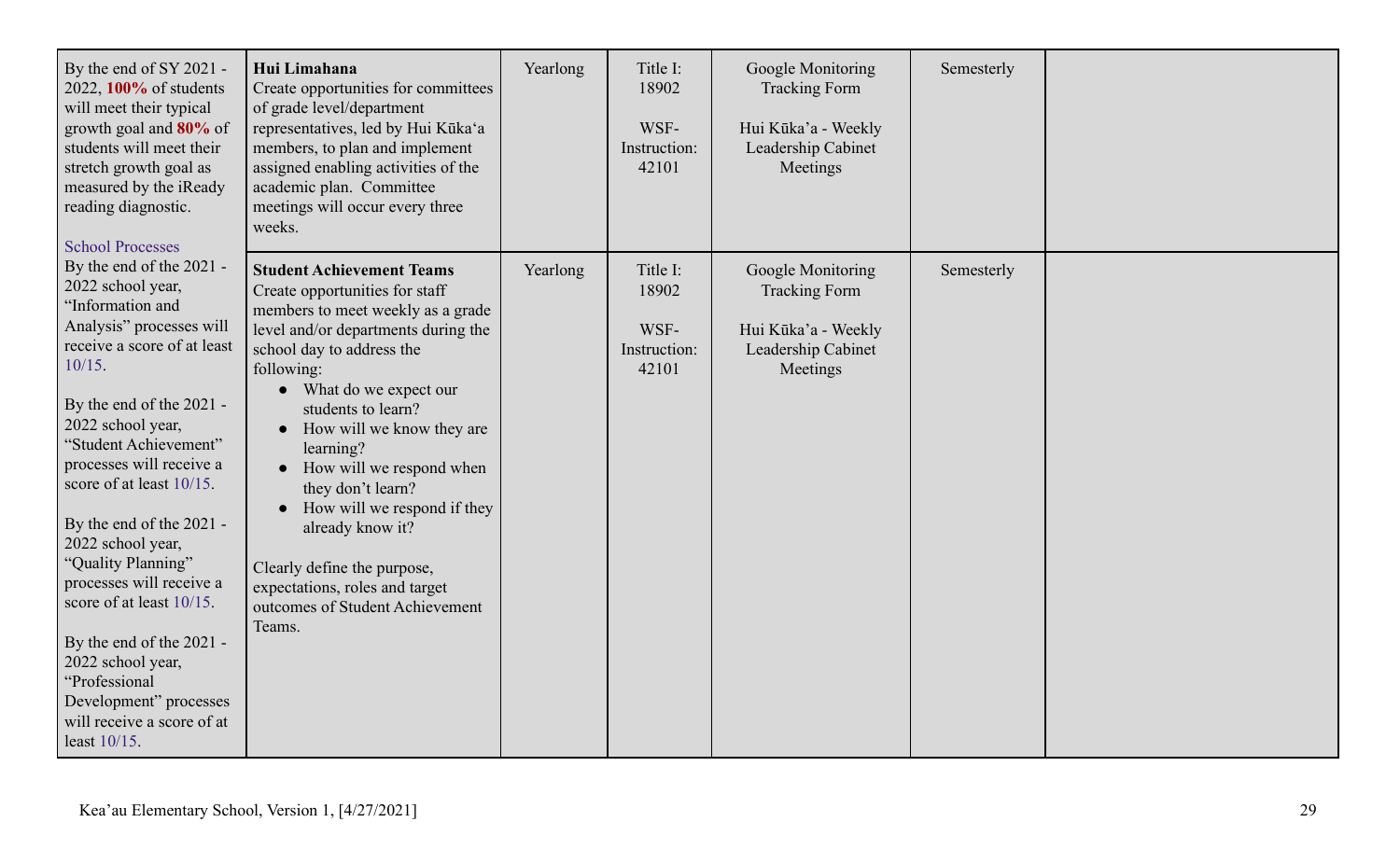| By the end of SY 2021 -<br>2022, 100% of students<br>will meet their typical<br>growth goal and 80% of<br>students will meet their<br>stretch growth goal as<br>measured by the iReady<br>reading diagnostic.<br><b>School Processes</b>                                                                                                                                                                                                                                                                                                             | Hui Limahana<br>Create opportunities for committees<br>of grade level/department<br>representatives, led by Hui Kūka'a<br>members, to plan and implement<br>assigned enabling activities of the<br>academic plan. Committee<br>meetings will occur every three<br>weeks.                                                                                                                                                                                                                                                                      | Yearlong | Title I:<br>18902<br>WSF-<br>Instruction:<br>42101 | Google Monitoring<br><b>Tracking Form</b><br>Hui Kūka'a - Weekly<br>Leadership Cabinet<br>Meetings | Semesterly |  |
|------------------------------------------------------------------------------------------------------------------------------------------------------------------------------------------------------------------------------------------------------------------------------------------------------------------------------------------------------------------------------------------------------------------------------------------------------------------------------------------------------------------------------------------------------|-----------------------------------------------------------------------------------------------------------------------------------------------------------------------------------------------------------------------------------------------------------------------------------------------------------------------------------------------------------------------------------------------------------------------------------------------------------------------------------------------------------------------------------------------|----------|----------------------------------------------------|----------------------------------------------------------------------------------------------------|------------|--|
| By the end of the 2021 -<br>2022 school year,<br>"Information and<br>Analysis" processes will<br>receive a score of at least<br>$10/15$ .<br>By the end of the 2021 -<br>2022 school year,<br>"Student Achievement"<br>processes will receive a<br>score of at least 10/15.<br>By the end of the 2021 -<br>2022 school year,<br>"Quality Planning"<br>processes will receive a<br>score of at least 10/15.<br>By the end of the 2021 -<br>2022 school year,<br>"Professional<br>Development" processes<br>will receive a score of at<br>least 10/15. | <b>Student Achievement Teams</b><br>Create opportunities for staff<br>members to meet weekly as a grade<br>level and/or departments during the<br>school day to address the<br>following:<br>What do we expect our<br>$\bullet$<br>students to learn?<br>How will we know they are<br>$\bullet$<br>learning?<br>• How will we respond when<br>they don't learn?<br>How will we respond if they<br>$\bullet$<br>already know it?<br>Clearly define the purpose,<br>expectations, roles and target<br>outcomes of Student Achievement<br>Teams. | Yearlong | Title I:<br>18902<br>WSF-<br>Instruction:<br>42101 | Google Monitoring<br><b>Tracking Form</b><br>Hui Kūka'a - Weekly<br>Leadership Cabinet<br>Meetings | Semesterly |  |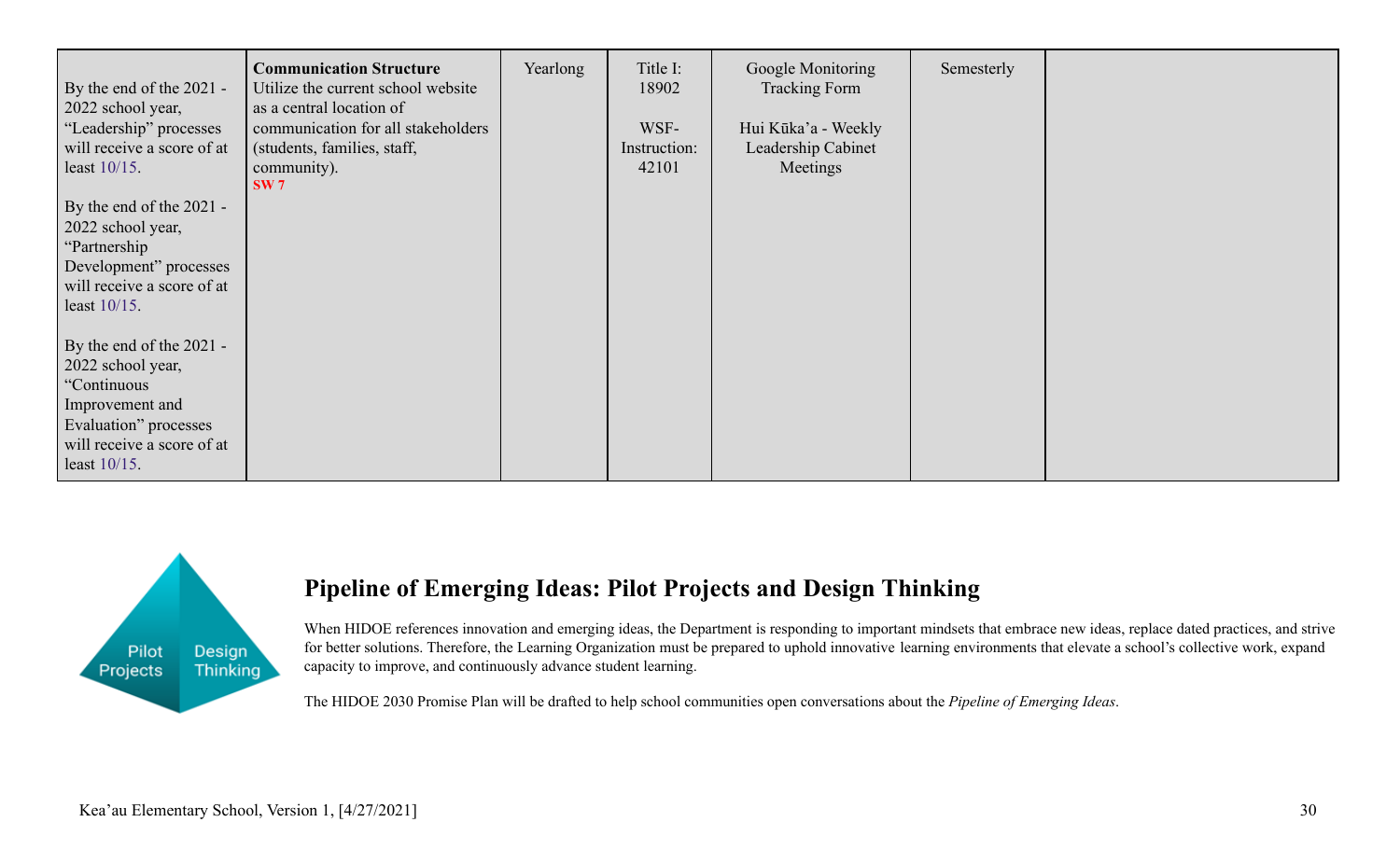| By the end of the 2021 -<br>2022 school year,<br>"Leadership" processes<br>will receive a score of at<br>least $10/15$ .                                  | <b>Communication Structure</b><br>Utilize the current school website<br>as a central location of<br>communication for all stakeholders<br>(students, families, staff,<br>community).<br>SW7 | Yearlong | Title I:<br>18902<br>WSF-<br>Instruction:<br>42101 | Google Monitoring<br><b>Tracking Form</b><br>Hui Kūka'a - Weekly<br>Leadership Cabinet<br>Meetings | Semesterly |  |
|-----------------------------------------------------------------------------------------------------------------------------------------------------------|---------------------------------------------------------------------------------------------------------------------------------------------------------------------------------------------|----------|----------------------------------------------------|----------------------------------------------------------------------------------------------------|------------|--|
| By the end of the 2021 -<br>2022 school year,<br>"Partnership"<br>Development" processes<br>will receive a score of at<br>least $10/15$ .                 |                                                                                                                                                                                             |          |                                                    |                                                                                                    |            |  |
| By the end of the 2021 -<br>2022 school year,<br>"Continuous<br>Improvement and<br>Evaluation" processes<br>will receive a score of at<br>least $10/15$ . |                                                                                                                                                                                             |          |                                                    |                                                                                                    |            |  |



# **Pipeline of Emerging Ideas: Pilot Projects and Design Thinking**

When HIDOE references innovation and emerging ideas, the Department is responding to important mindsets that embrace new ideas, replace dated practices, and strive for better solutions. Therefore, the Learning Organization must be prepared to uphold innovative learning environments that elevate a school's collective work, expand capacity to improve, and continuously advance student learning.

The HIDOE 2030 Promise Plan will be drafted to help school communities open conversations about the *Pipeline of Emerging Ideas*.